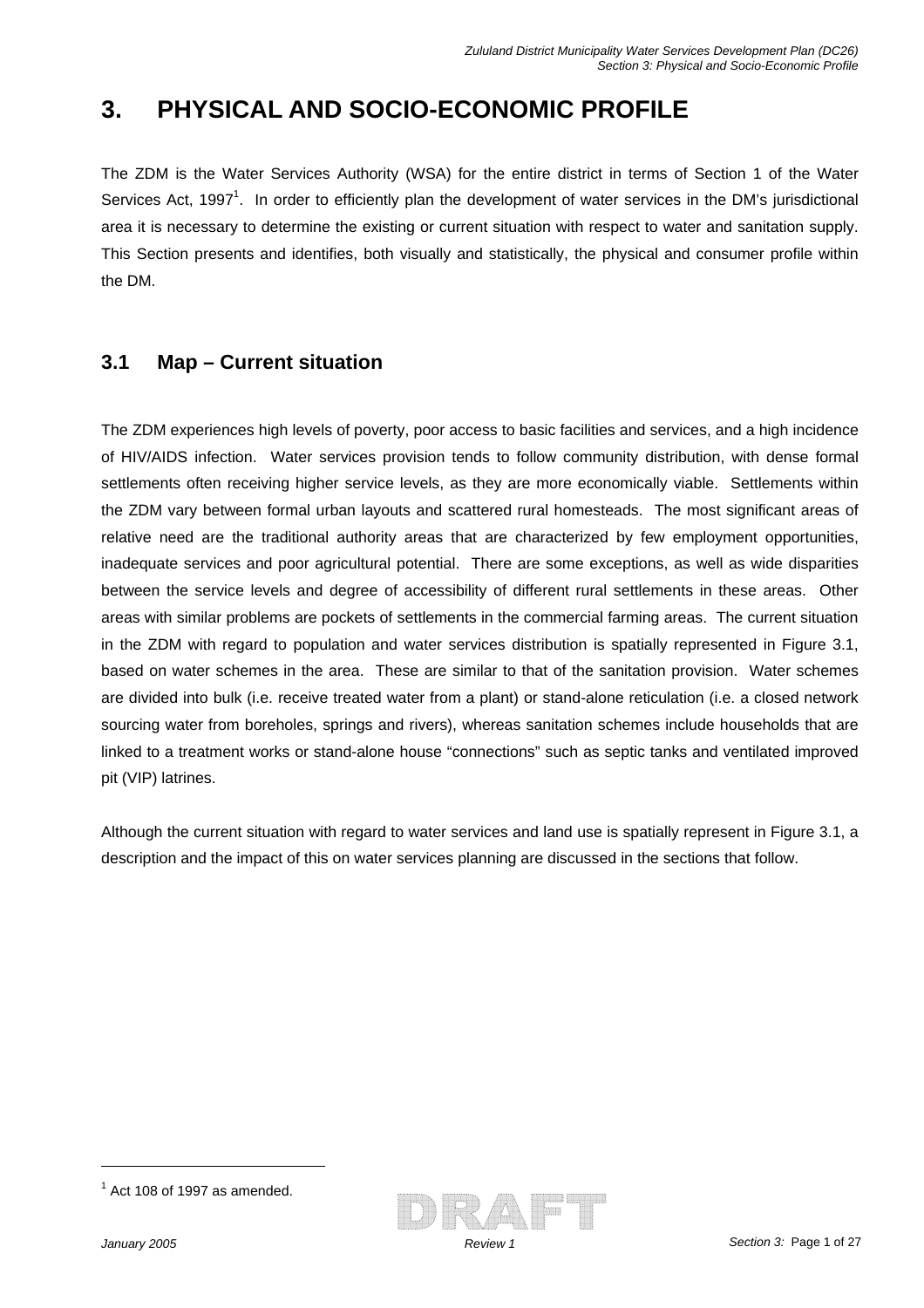# **3. PHYSICAL AND SOCIO-ECONOMIC PROFILE**

The ZDM is the Water Services Authority (WSA) for the entire district in terms of Section 1 of the Water Services Act, 1997<sup>1</sup>. In order to efficiently plan the development of water services in the DM's jurisdictional area it is necessary to determine the existing or current situation with respect to water and sanitation supply. This Section presents and identifies, both visually and statistically, the physical and consumer profile within the DM.

### **3.1 Map – Current situation**

The ZDM experiences high levels of poverty, poor access to basic facilities and services, and a high incidence of HIV/AIDS infection. Water services provision tends to follow community distribution, with dense formal settlements often receiving higher service levels, as they are more economically viable. Settlements within the ZDM vary between formal urban layouts and scattered rural homesteads. The most significant areas of relative need are the traditional authority areas that are characterized by few employment opportunities, inadequate services and poor agricultural potential. There are some exceptions, as well as wide disparities between the service levels and degree of accessibility of different rural settlements in these areas. Other areas with similar problems are pockets of settlements in the commercial farming areas. The current situation in the ZDM with regard to population and water services distribution is spatially represented in Figure 3.1, based on water schemes in the area. These are similar to that of the sanitation provision. Water schemes are divided into bulk (i.e. receive treated water from a plant) or stand-alone reticulation (i.e. a closed network sourcing water from boreholes, springs and rivers), whereas sanitation schemes include households that are linked to a treatment works or stand-alone house "connections" such as septic tanks and ventilated improved pit (VIP) latrines.

Although the current situation with regard to water services and land use is spatially represent in Figure 3.1, a description and the impact of this on water services planning are discussed in the sections that follow.



 $<sup>1</sup>$  Act 108 of 1997 as amended.</sup>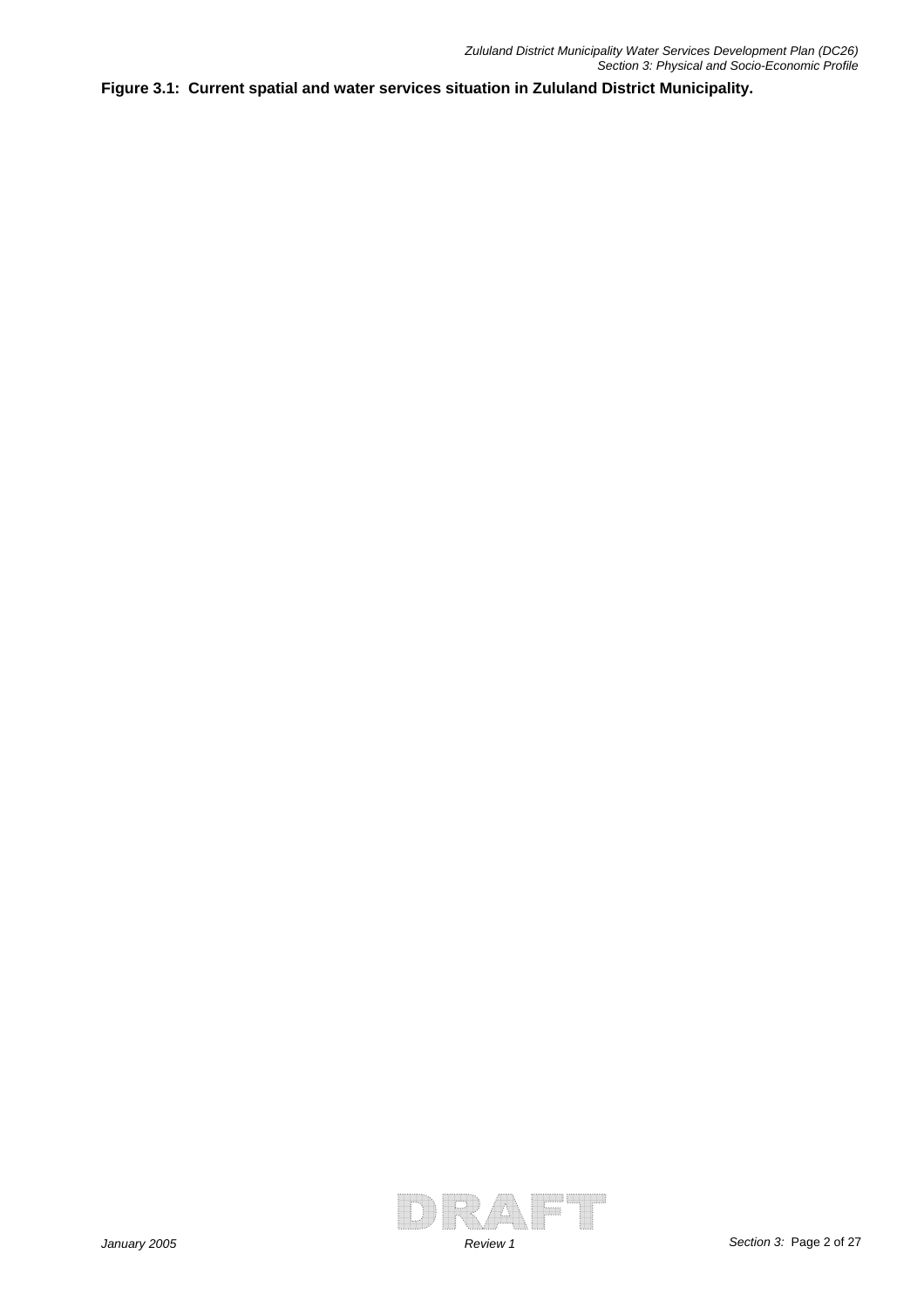**Figure 3.1: Current spatial and water services situation in Zululand District Municipality.**

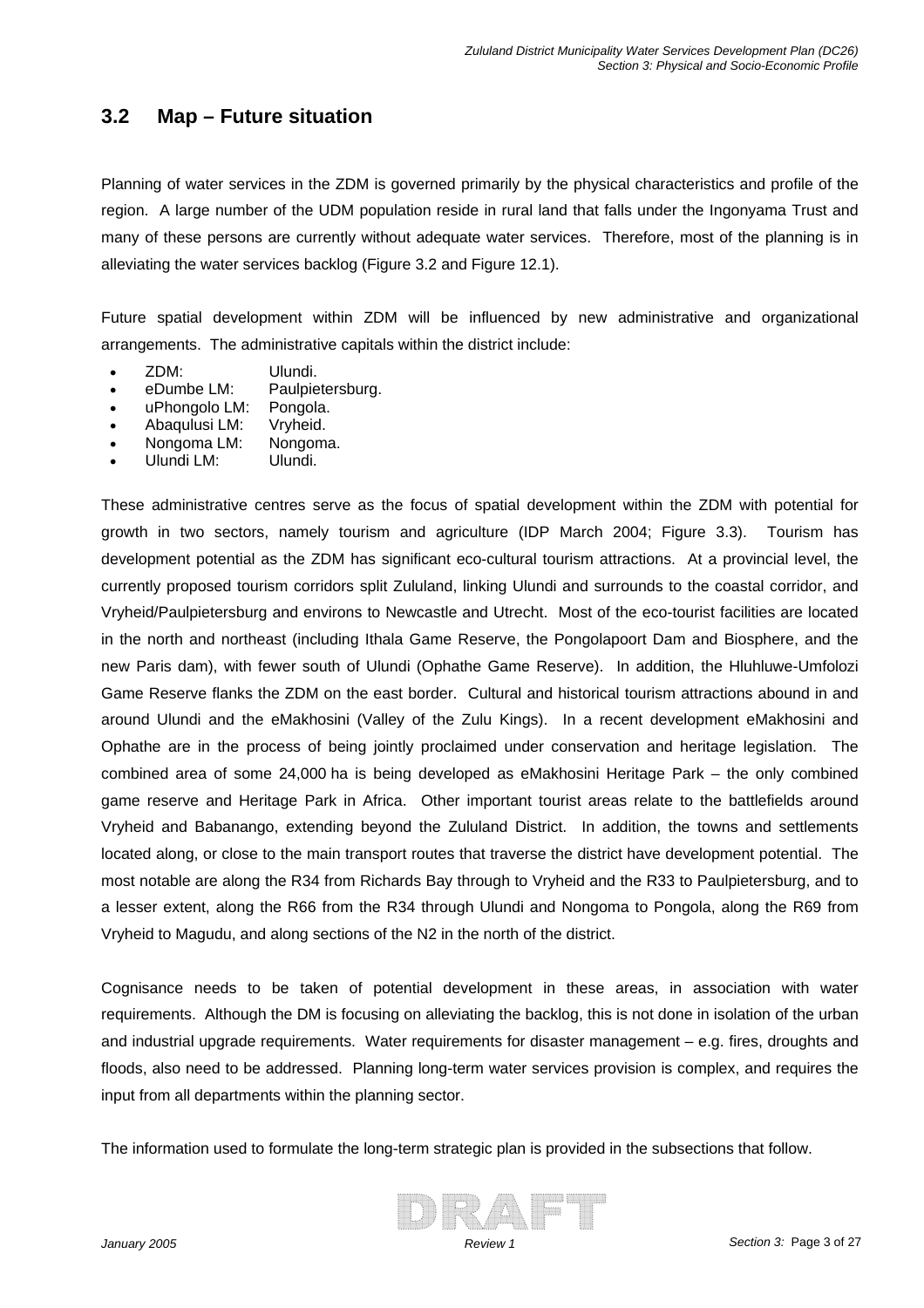### **3.2 Map – Future situation**

Planning of water services in the ZDM is governed primarily by the physical characteristics and profile of the region. A large number of the UDM population reside in rural land that falls under the Ingonyama Trust and many of these persons are currently without adequate water services. Therefore, most of the planning is in alleviating the water services backlog (Figure 3.2 and Figure 12.1).

Future spatial development within ZDM will be influenced by new administrative and organizational arrangements. The administrative capitals within the district include:

- ZDM: Ulundi.
- eDumbe LM: Paulpietersburg.
- uPhongolo LM: Pongola.
- Abaqulusi LM: Vryheid.
- Nongoma LM: Nongoma.
- Ulundi LM: Ulundi.

These administrative centres serve as the focus of spatial development within the ZDM with potential for growth in two sectors, namely tourism and agriculture (IDP March 2004; Figure 3.3). Tourism has development potential as the ZDM has significant eco-cultural tourism attractions. At a provincial level, the currently proposed tourism corridors split Zululand, linking Ulundi and surrounds to the coastal corridor, and Vryheid/Paulpietersburg and environs to Newcastle and Utrecht. Most of the eco-tourist facilities are located in the north and northeast (including Ithala Game Reserve, the Pongolapoort Dam and Biosphere, and the new Paris dam), with fewer south of Ulundi (Ophathe Game Reserve). In addition, the Hluhluwe-Umfolozi Game Reserve flanks the ZDM on the east border. Cultural and historical tourism attractions abound in and around Ulundi and the eMakhosini (Valley of the Zulu Kings). In a recent development eMakhosini and Ophathe are in the process of being jointly proclaimed under conservation and heritage legislation. The combined area of some 24,000 ha is being developed as eMakhosini Heritage Park – the only combined game reserve and Heritage Park in Africa. Other important tourist areas relate to the battlefields around Vryheid and Babanango, extending beyond the Zululand District. In addition, the towns and settlements located along, or close to the main transport routes that traverse the district have development potential. The most notable are along the R34 from Richards Bay through to Vryheid and the R33 to Paulpietersburg, and to a lesser extent, along the R66 from the R34 through Ulundi and Nongoma to Pongola, along the R69 from Vryheid to Magudu, and along sections of the N2 in the north of the district.

Cognisance needs to be taken of potential development in these areas, in association with water requirements. Although the DM is focusing on alleviating the backlog, this is not done in isolation of the urban and industrial upgrade requirements. Water requirements for disaster management – e.g. fires, droughts and floods, also need to be addressed. Planning long-term water services provision is complex, and requires the input from all departments within the planning sector.

The information used to formulate the long-term strategic plan is provided in the subsections that follow.

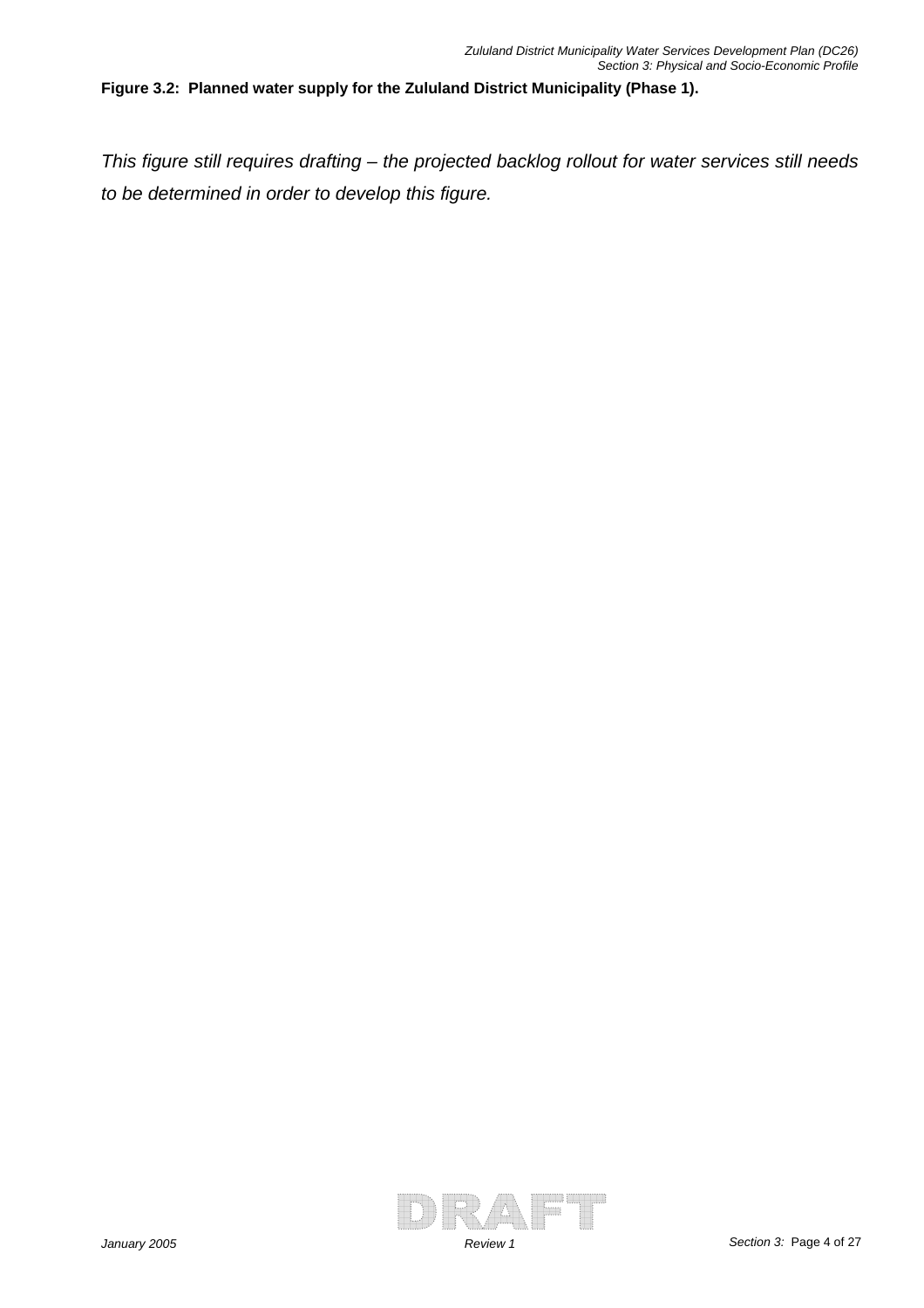#### **Figure 3.2: Planned water supply for the Zululand District Municipality (Phase 1).**

*This figure still requires drafting – the projected backlog rollout for water services still needs to be determined in order to develop this figure.* 

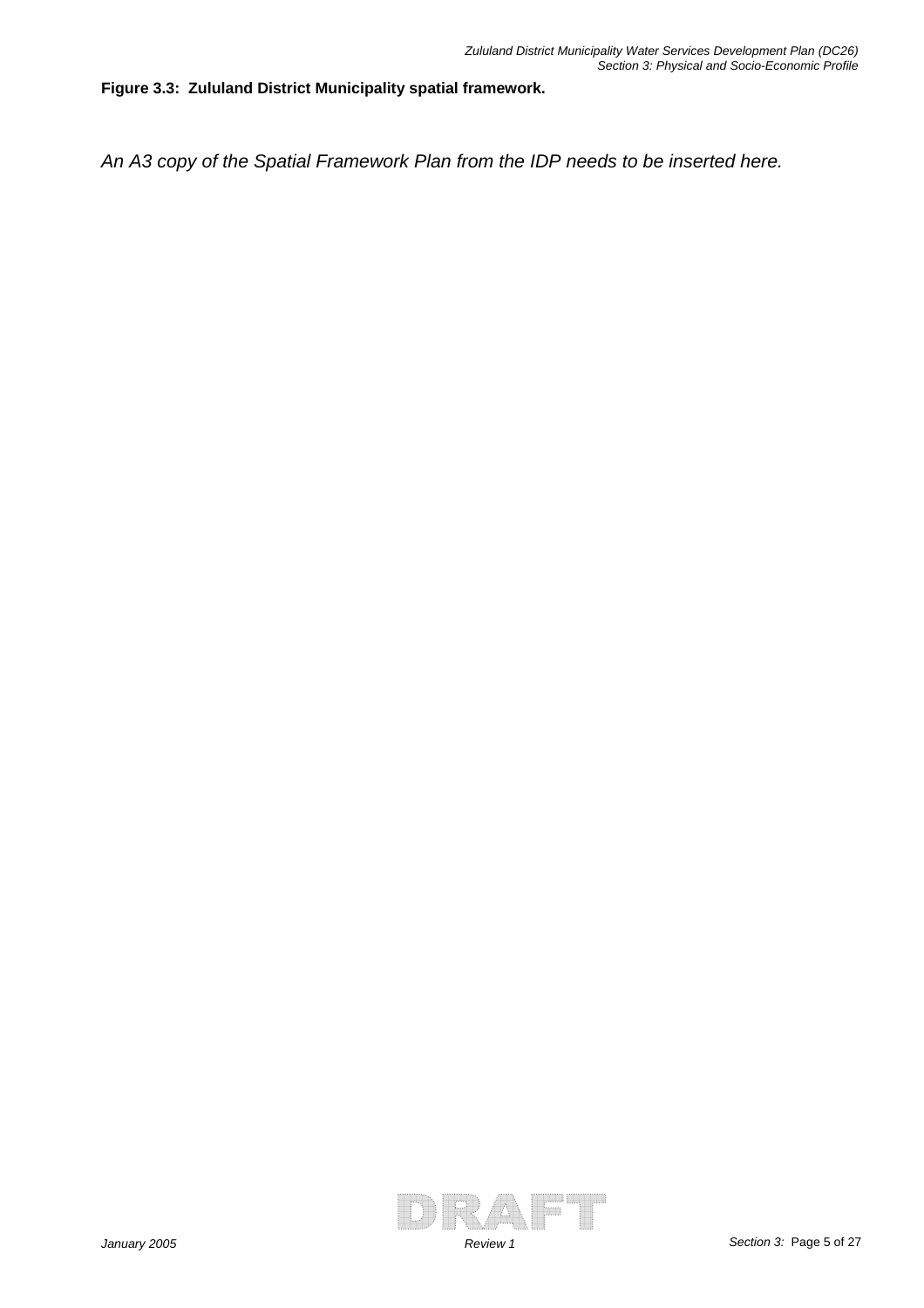**Figure 3.3: Zululand District Municipality spatial framework.** 

*An A3 copy of the Spatial Framework Plan from the IDP needs to be inserted here.* 

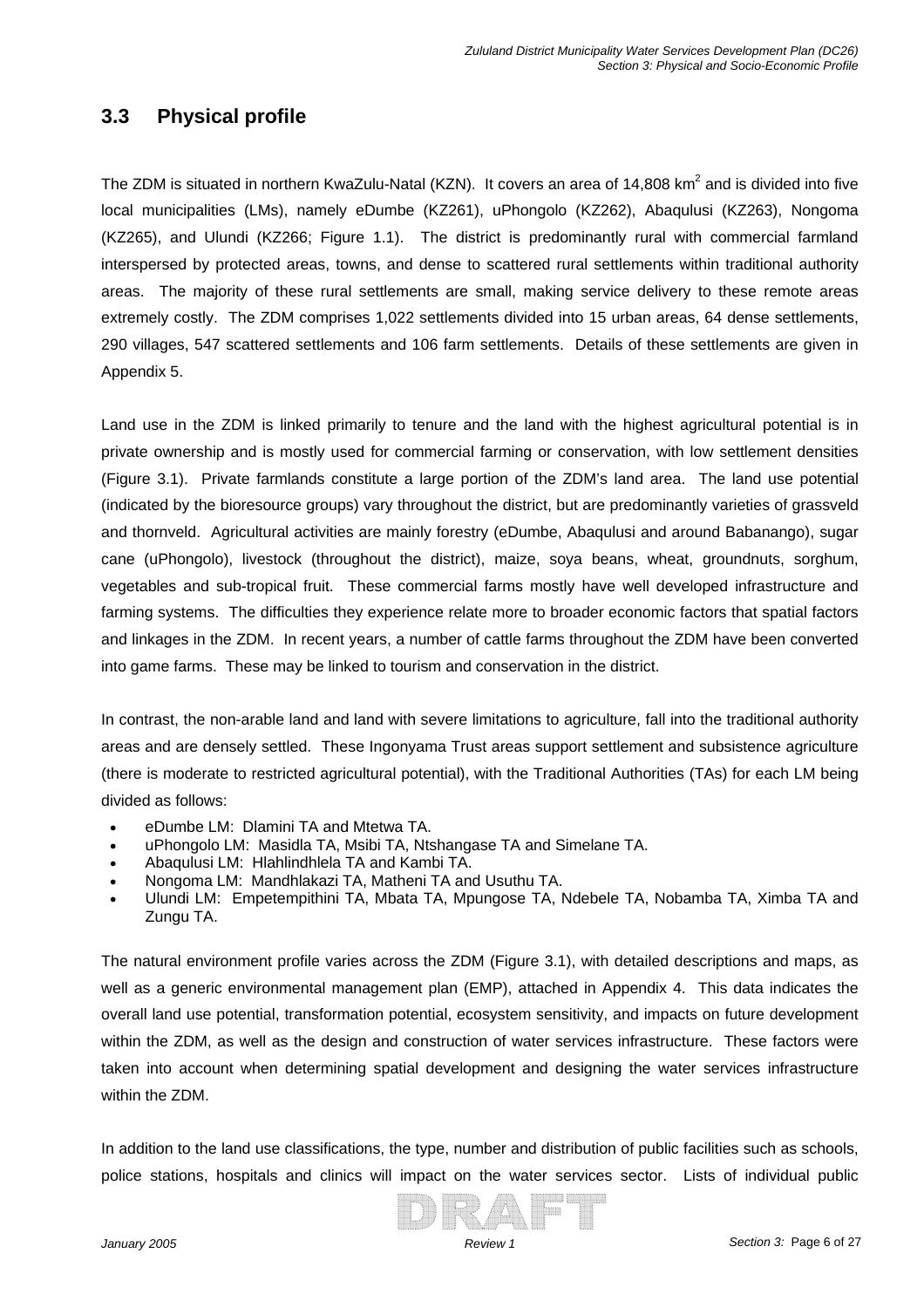# **3.3 Physical profile**

The ZDM is situated in northern KwaZulu-Natal (KZN). It covers an area of 14,808 km<sup>2</sup> and is divided into five local municipalities (LMs), namely eDumbe (KZ261), uPhongolo (KZ262), Abaqulusi (KZ263), Nongoma (KZ265), and Ulundi (KZ266; Figure 1.1). The district is predominantly rural with commercial farmland interspersed by protected areas, towns, and dense to scattered rural settlements within traditional authority areas. The majority of these rural settlements are small, making service delivery to these remote areas extremely costly. The ZDM comprises 1,022 settlements divided into 15 urban areas, 64 dense settlements, 290 villages, 547 scattered settlements and 106 farm settlements. Details of these settlements are given in Appendix 5.

Land use in the ZDM is linked primarily to tenure and the land with the highest agricultural potential is in private ownership and is mostly used for commercial farming or conservation, with low settlement densities (Figure 3.1). Private farmlands constitute a large portion of the ZDM's land area. The land use potential (indicated by the bioresource groups) vary throughout the district, but are predominantly varieties of grassveld and thornveld. Agricultural activities are mainly forestry (eDumbe, Abaqulusi and around Babanango), sugar cane (uPhongolo), livestock (throughout the district), maize, soya beans, wheat, groundnuts, sorghum, vegetables and sub-tropical fruit. These commercial farms mostly have well developed infrastructure and farming systems. The difficulties they experience relate more to broader economic factors that spatial factors and linkages in the ZDM. In recent years, a number of cattle farms throughout the ZDM have been converted into game farms. These may be linked to tourism and conservation in the district.

In contrast, the non-arable land and land with severe limitations to agriculture, fall into the traditional authority areas and are densely settled. These Ingonyama Trust areas support settlement and subsistence agriculture (there is moderate to restricted agricultural potential), with the Traditional Authorities (TAs) for each LM being divided as follows:

- eDumbe LM: Dlamini TA and Mtetwa TA.
- uPhongolo LM: Masidla TA, Msibi TA, Ntshangase TA and Simelane TA.
- Abaqulusi LM: Hlahlindhlela TA and Kambi TA.
- Nongoma LM: Mandhlakazi TA, Matheni TA and Usuthu TA.
- Ulundi LM: Empetempithini TA, Mbata TA, Mpungose TA, Ndebele TA, Nobamba TA, Ximba TA and Zungu TA.

The natural environment profile varies across the ZDM (Figure 3.1), with detailed descriptions and maps, as well as a generic environmental management plan (EMP), attached in Appendix 4. This data indicates the overall land use potential, transformation potential, ecosystem sensitivity, and impacts on future development within the ZDM, as well as the design and construction of water services infrastructure. These factors were taken into account when determining spatial development and designing the water services infrastructure within the ZDM.

In addition to the land use classifications, the type, number and distribution of public facilities such as schools, police stations, hospitals and clinics will impact on the water services sector. Lists of individual public

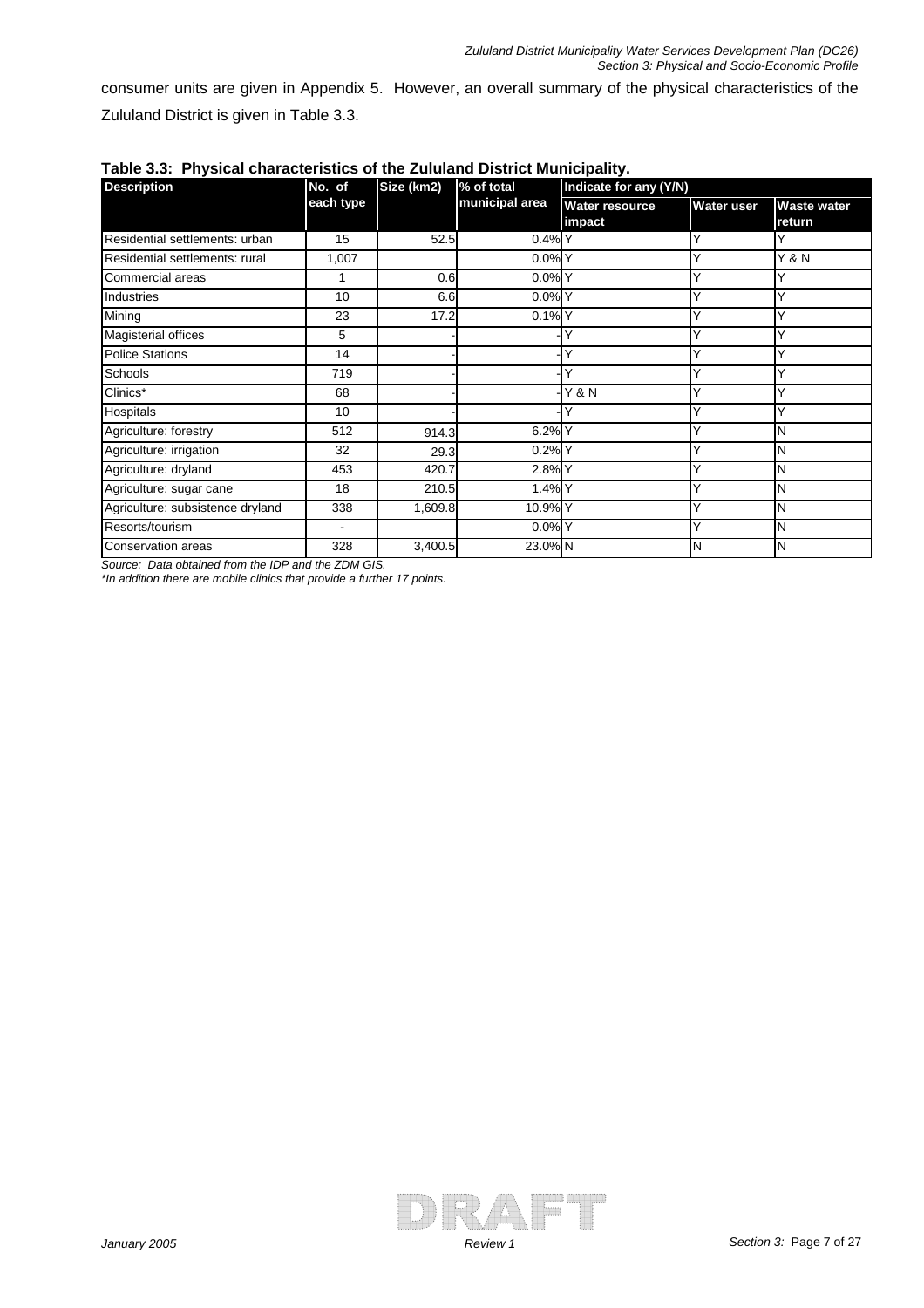consumer units are given in Appendix 5. However, an overall summary of the physical characteristics of the Zululand District is given in Table 3.3.

| <b>Description</b>               | Size (km2)<br>No. of |         | % of total     | Indicate for any (Y/N)   |                   |                              |  |
|----------------------------------|----------------------|---------|----------------|--------------------------|-------------------|------------------------------|--|
|                                  | each type            |         | municipal area | Water resource<br>impact | <b>Water user</b> | <b>Waste water</b><br>return |  |
| Residential settlements: urban   | 15                   | 52.5    | $0.4%$ Y       |                          |                   |                              |  |
| Residential settlements: rural   | 1,007                |         | 0.0%           |                          |                   | $\overline{Y}$ & N           |  |
| Commercial areas                 |                      | 0.6     | $0.0\%$ Y      |                          |                   |                              |  |
| Industries                       | 10                   | 6.6     | $0.0\%$ Y      |                          |                   | Y                            |  |
| Mining                           | 23                   | 17.2    | $0.1\%$ Y      |                          |                   | Y                            |  |
| Magisterial offices              | 5                    |         |                |                          | ٧                 | ✓                            |  |
| <b>Police Stations</b>           | 14                   |         |                |                          | ◡                 | ✓                            |  |
| Schools                          | 719                  |         |                |                          |                   | v                            |  |
| Clinics*                         | 68                   |         |                | <b>Y &amp; N</b>         | Υ                 | Y                            |  |
| Hospitals                        | 10                   |         |                |                          |                   | Ý                            |  |
| Agriculture: forestry            | 512                  | 914.3   | 6.2% Y         |                          |                   | N                            |  |
| Agriculture: irrigation          | 32                   | 29.3    | 0.2%           |                          |                   | N                            |  |
| Agriculture: dryland             | 453                  | 420.7   | 2.8% Y         |                          |                   | N                            |  |
| Agriculture: sugar cane          | 18                   | 210.5   | 1.4% Y         |                          |                   | Ν                            |  |
| Agriculture: subsistence dryland | 338                  | 1,609.8 | 10.9% Y        |                          | ٠Y                | N                            |  |
| Resorts/tourism                  | $\blacksquare$       |         | $0.0\%$ Y      |                          |                   | Ν                            |  |
| Conservation areas               | 328                  | 3,400.5 | 23.0% N        |                          | N                 | N                            |  |

|  | Table 3.3: Physical characteristics of the Zululand District Municipality. |  |  |  |  |
|--|----------------------------------------------------------------------------|--|--|--|--|
|--|----------------------------------------------------------------------------|--|--|--|--|

*Source: Data obtained from the IDP and the ZDM GIS.*

*\*In addition there are mobile clinics that provide a further 17 points.* 

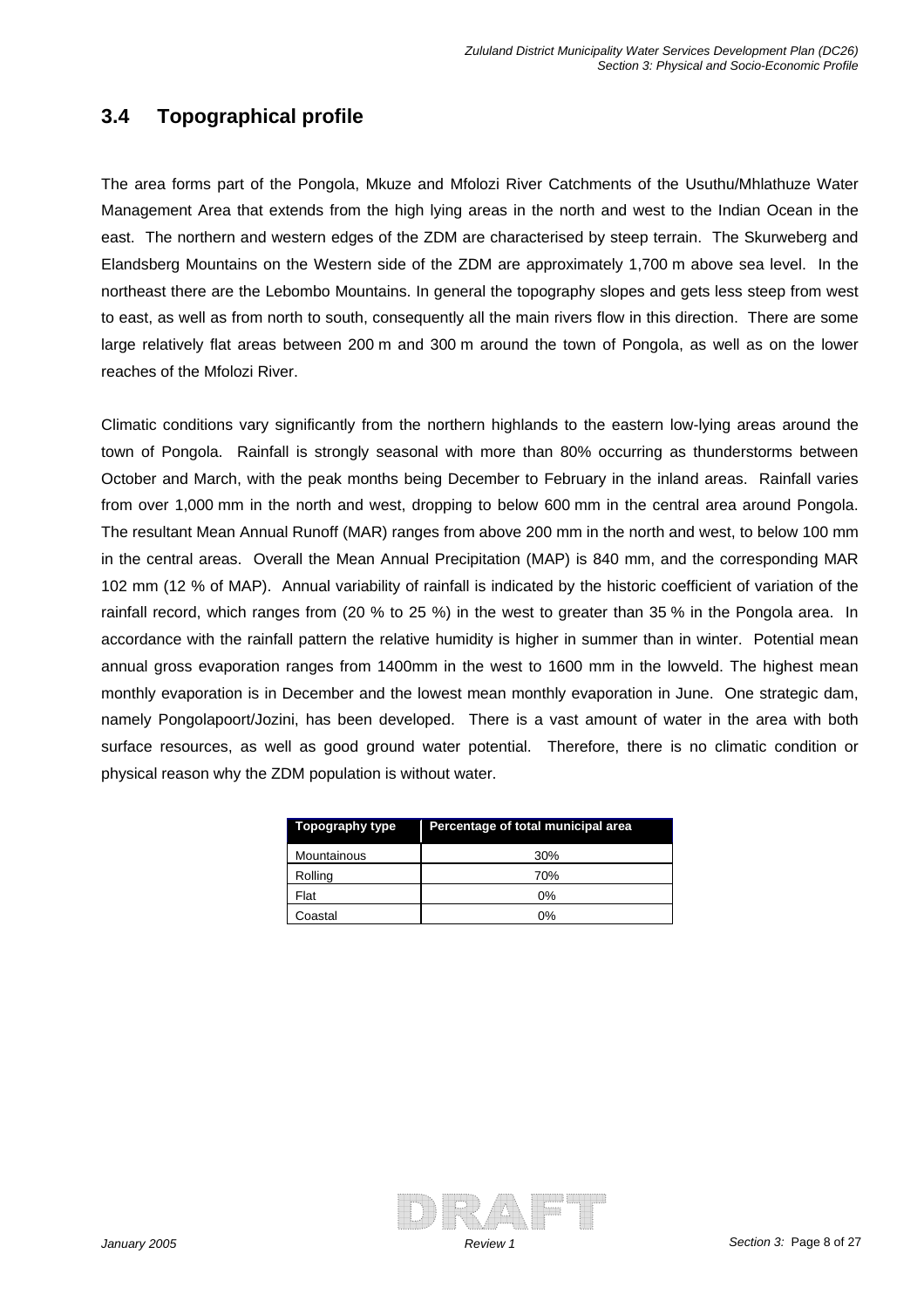# **3.4 Topographical profile**

The area forms part of the Pongola, Mkuze and Mfolozi River Catchments of the Usuthu/Mhlathuze Water Management Area that extends from the high lying areas in the north and west to the Indian Ocean in the east. The northern and western edges of the ZDM are characterised by steep terrain. The Skurweberg and Elandsberg Mountains on the Western side of the ZDM are approximately 1,700 m above sea level. In the northeast there are the Lebombo Mountains. In general the topography slopes and gets less steep from west to east, as well as from north to south, consequently all the main rivers flow in this direction. There are some large relatively flat areas between 200 m and 300 m around the town of Pongola, as well as on the lower reaches of the Mfolozi River.

Climatic conditions vary significantly from the northern highlands to the eastern low-lying areas around the town of Pongola. Rainfall is strongly seasonal with more than 80% occurring as thunderstorms between October and March, with the peak months being December to February in the inland areas. Rainfall varies from over 1,000 mm in the north and west, dropping to below 600 mm in the central area around Pongola. The resultant Mean Annual Runoff (MAR) ranges from above 200 mm in the north and west, to below 100 mm in the central areas. Overall the Mean Annual Precipitation (MAP) is 840 mm, and the corresponding MAR 102 mm (12 % of MAP). Annual variability of rainfall is indicated by the historic coefficient of variation of the rainfall record, which ranges from (20 % to 25 %) in the west to greater than 35 % in the Pongola area. In accordance with the rainfall pattern the relative humidity is higher in summer than in winter. Potential mean annual gross evaporation ranges from 1400mm in the west to 1600 mm in the lowveld. The highest mean monthly evaporation is in December and the lowest mean monthly evaporation in June. One strategic dam, namely Pongolapoort/Jozini, has been developed. There is a vast amount of water in the area with both surface resources, as well as good ground water potential. Therefore, there is no climatic condition or physical reason why the ZDM population is without water.

| Topography type | Percentage of total municipal area |
|-----------------|------------------------------------|
| Mountainous     | 30%                                |
| Rolling         | 70%                                |
| Flat            | $0\%$                              |
| Coastal         | 0%                                 |

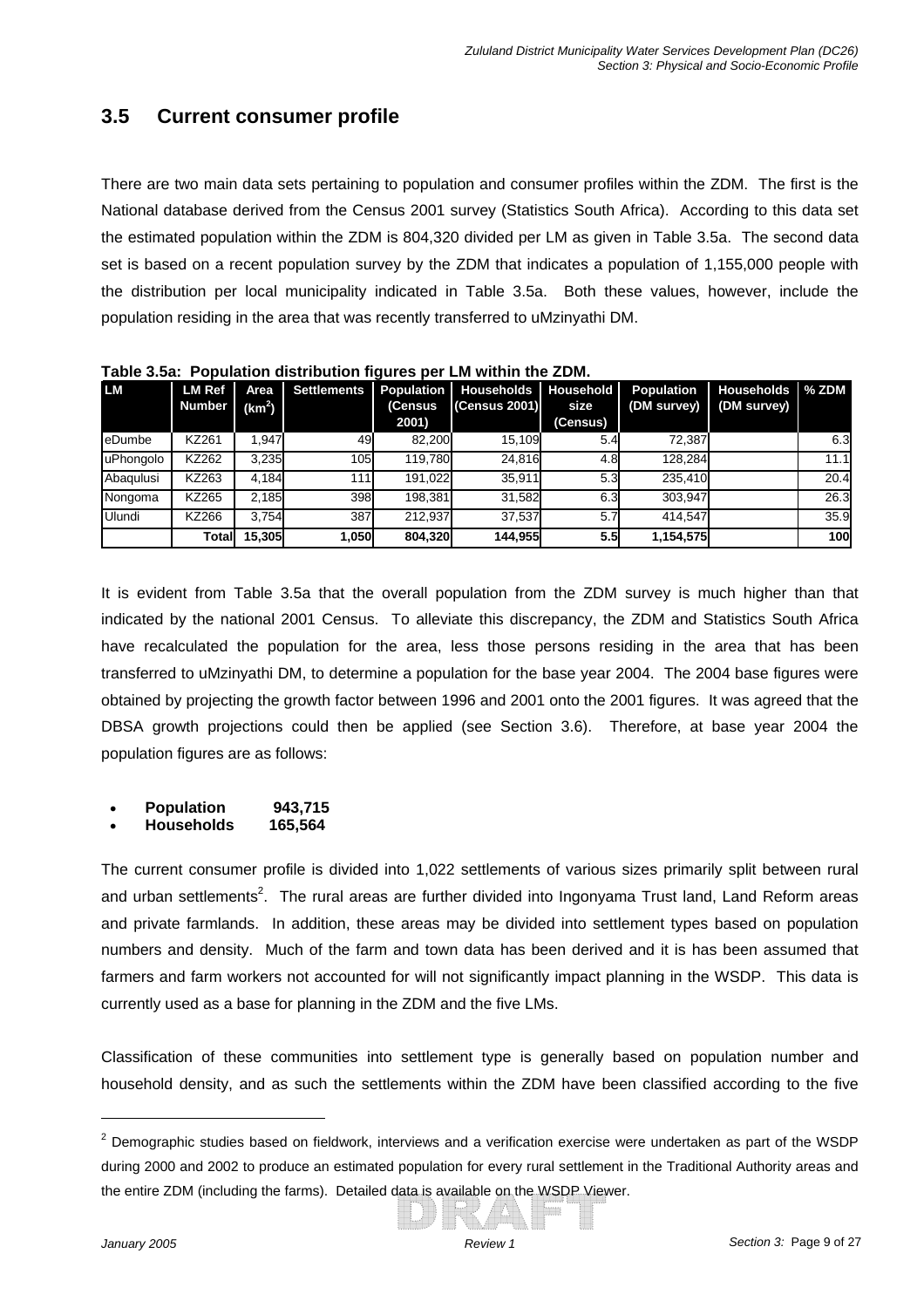# **3.5 Current consumer profile**

There are two main data sets pertaining to population and consumer profiles within the ZDM. The first is the National database derived from the Census 2001 survey (Statistics South Africa). According to this data set the estimated population within the ZDM is 804,320 divided per LM as given in Table 3.5a. The second data set is based on a recent population survey by the ZDM that indicates a population of 1,155,000 people with the distribution per local municipality indicated in Table 3.5a. Both these values, however, include the population residing in the area that was recently transferred to uMzinyathi DM.

| <b>LM</b>       | <b>LM Ref</b><br><b>Number</b> | <b>Area</b><br>(km <sup>2</sup> ) | <b>Settlements</b> | (Census | Population   Households   Household  <br>(Census 2001) | size     | <b>Population</b><br>(DM survey) | <b>Households</b> % ZDM<br>(DM survey) |      |
|-----------------|--------------------------------|-----------------------------------|--------------------|---------|--------------------------------------------------------|----------|----------------------------------|----------------------------------------|------|
|                 |                                |                                   |                    | 2001)   |                                                        | (Census) |                                  |                                        |      |
| <b>I</b> eDumbe | KZ261                          | 1.947                             | 49                 | 82,200  | 15.109                                                 | 5.4      | 72,387                           |                                        | 6.3  |
| uPhongolo       | KZ262                          | 3,235                             | 105                | 119,780 | 24,816                                                 | 4.8      | 128,284                          |                                        | 11.1 |
| Abaqulusi       | KZ263                          | 4.184                             | 111l               | 191,022 | 35.911                                                 | 5.3      | 235.410                          |                                        | 20.4 |
| Nongoma         | KZ265                          | 2,185                             | 398                | 198,381 | 31.582                                                 | 6.3      | 303.947                          |                                        | 26.3 |
| Ulundi          | KZ266                          | 3.754                             | 387                | 212,937 | 37.537                                                 | 5.7      | 414.547                          |                                        | 35.9 |
|                 | Totall                         | 15.305                            | 1.050              | 804,320 | 144.955                                                | 5.5      | 1,154,575                        |                                        | 100  |

**Table 3.5a: Population distribution figures per LM within the ZDM.** 

It is evident from Table 3.5a that the overall population from the ZDM survey is much higher than that indicated by the national 2001 Census. To alleviate this discrepancy, the ZDM and Statistics South Africa have recalculated the population for the area, less those persons residing in the area that has been transferred to uMzinyathi DM, to determine a population for the base year 2004. The 2004 base figures were obtained by projecting the growth factor between 1996 and 2001 onto the 2001 figures. It was agreed that the DBSA growth projections could then be applied (see Section 3.6). Therefore, at base year 2004 the population figures are as follows:

• **Population 943,715** 

#### • **Households 165,564**

The current consumer profile is divided into 1,022 settlements of various sizes primarily split between rural and urban settlements<sup>2</sup>. The rural areas are further divided into Ingonyama Trust land, Land Reform areas and private farmlands. In addition, these areas may be divided into settlement types based on population numbers and density. Much of the farm and town data has been derived and it is has been assumed that farmers and farm workers not accounted for will not significantly impact planning in the WSDP. This data is currently used as a base for planning in the ZDM and the five LMs.

Classification of these communities into settlement type is generally based on population number and household density, and as such the settlements within the ZDM have been classified according to the five

 $2$  Demographic studies based on fieldwork, interviews and a verification exercise were undertaken as part of the WSDP during 2000 and 2002 to produce an estimated population for every rural settlement in the Traditional Authority areas and the entire ZDM (including the farms). Detailed data is available on the WSDP Viewer.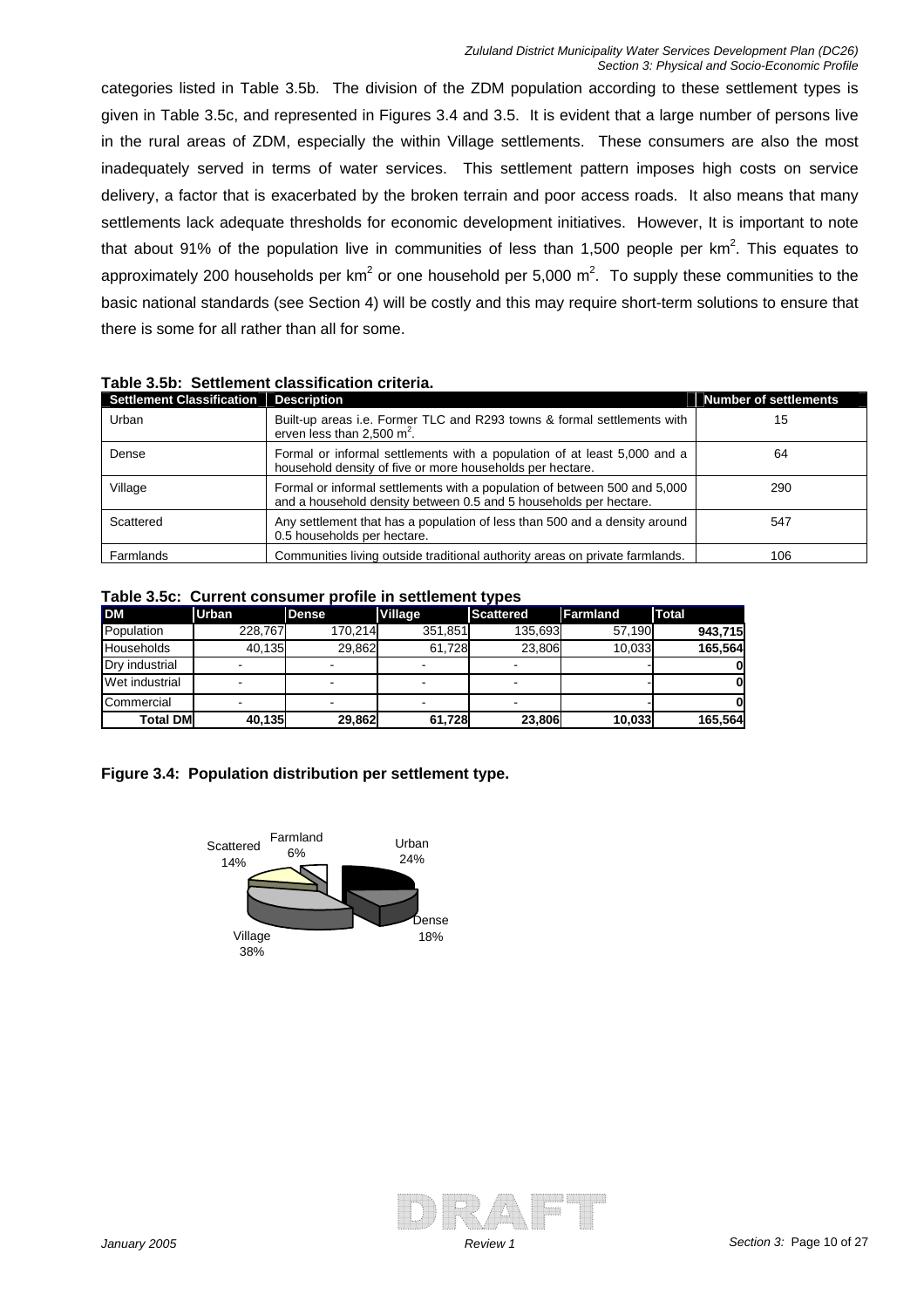categories listed in Table 3.5b. The division of the ZDM population according to these settlement types is given in Table 3.5c, and represented in Figures 3.4 and 3.5. It is evident that a large number of persons live in the rural areas of ZDM, especially the within Village settlements. These consumers are also the most inadequately served in terms of water services. This settlement pattern imposes high costs on service delivery, a factor that is exacerbated by the broken terrain and poor access roads. It also means that many settlements lack adequate thresholds for economic development initiatives. However, It is important to note that about 91% of the population live in communities of less than 1,500 people per  $km^2$ . This equates to approximately 200 households per km<sup>2</sup> or one household per 5,000 m<sup>2</sup>. To supply these communities to the basic national standards (see Section 4) will be costly and this may require short-term solutions to ensure that there is some for all rather than all for some.

| <b>Settlement Classification</b> | <b>Description</b>                                                                                                                             | <b>Number of settlements</b> |
|----------------------------------|------------------------------------------------------------------------------------------------------------------------------------------------|------------------------------|
| Urban                            | Built-up areas i.e. Former TLC and R293 towns & formal settlements with<br>erven less than $2,500 \text{ m}^2$ .                               | 15                           |
| Dense                            | Formal or informal settlements with a population of at least 5,000 and a<br>household density of five or more households per hectare.          | 64                           |
| Village                          | Formal or informal settlements with a population of between 500 and 5,000<br>and a household density between 0.5 and 5 households per hectare. | 290                          |
| Scattered                        | Any settlement that has a population of less than 500 and a density around<br>0.5 households per hectare.                                      | 547                          |
| Farmlands                        | Communities living outside traditional authority areas on private farmlands.                                                                   | 106                          |

### **Table 3.5b: Settlement classification criteria.**

#### **Table 3.5c: Current consumer profile in settlement types**

| <b>DM</b>         | <b>Urban</b> | <b>Dense</b> | Village | Scattered | <b>Farmland</b> | Total   |
|-------------------|--------------|--------------|---------|-----------|-----------------|---------|
| Population        | 228.767      | 170.214      | 351,851 | 135.693   | 57.190          | 943.715 |
| <b>Households</b> | 40.135       | 29.862       | 61.728  | 23.806    | 10.033          | 165.564 |
| Drv industrial    |              |              |         |           |                 |         |
| Wet industrial    |              |              |         |           |                 |         |
| Commercial        |              |              | -       |           |                 |         |
| <b>Total DM</b>   | 40.135       | 29.862       | 61,728  | 23,806    | 10,033          | 165.564 |

#### **Figure 3.4: Population distribution per settlement type.**



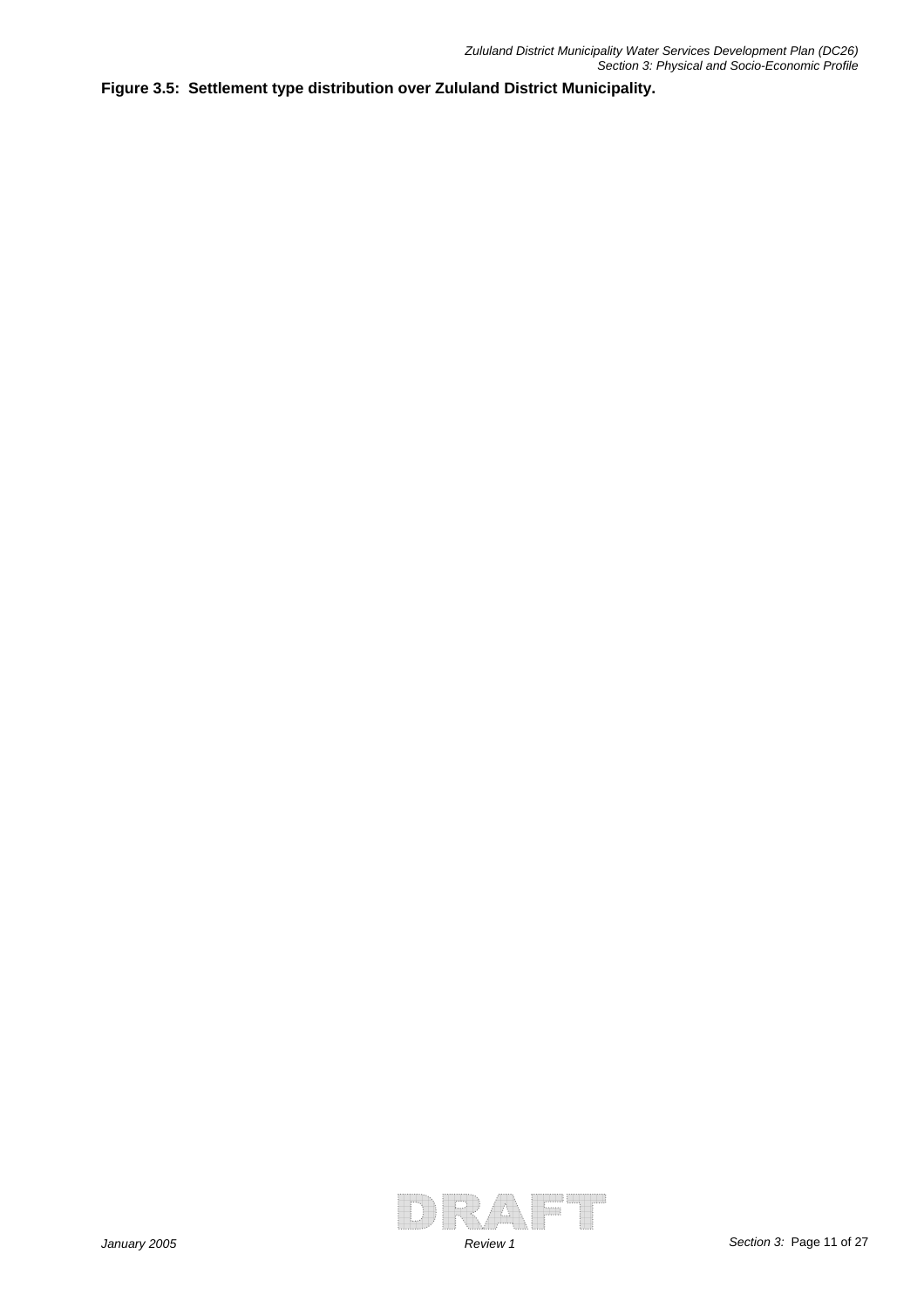**Figure 3.5: Settlement type distribution over Zululand District Municipality.**

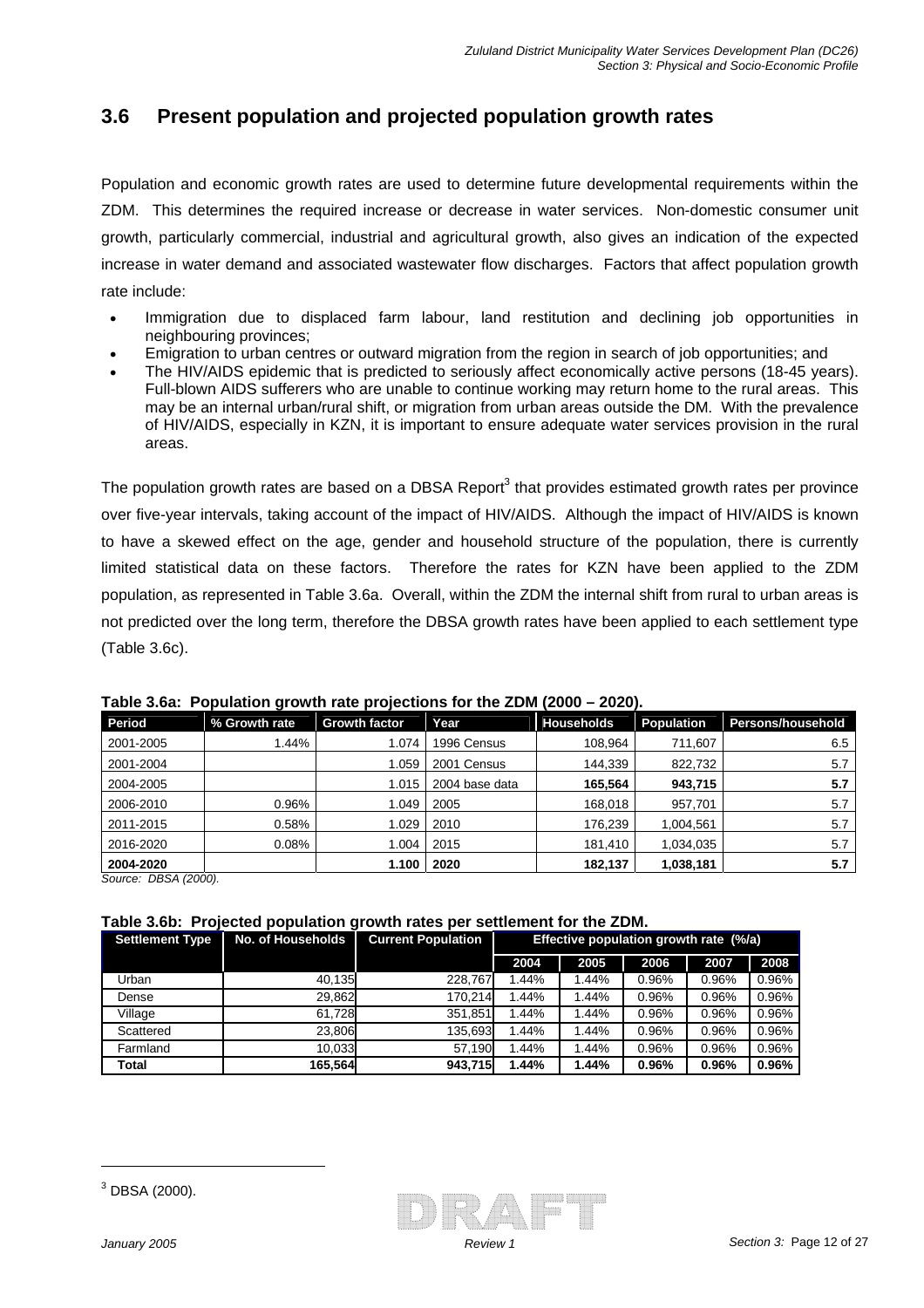# **3.6 Present population and projected population growth rates**

Population and economic growth rates are used to determine future developmental requirements within the ZDM. This determines the required increase or decrease in water services. Non-domestic consumer unit growth, particularly commercial, industrial and agricultural growth, also gives an indication of the expected increase in water demand and associated wastewater flow discharges. Factors that affect population growth rate include:

- Immigration due to displaced farm labour, land restitution and declining job opportunities in neighbouring provinces;
- Emigration to urban centres or outward migration from the region in search of job opportunities; and
- The HIV/AIDS epidemic that is predicted to seriously affect economically active persons (18-45 years). Full-blown AIDS sufferers who are unable to continue working may return home to the rural areas. This may be an internal urban/rural shift, or migration from urban areas outside the DM. With the prevalence of HIV/AIDS, especially in KZN, it is important to ensure adequate water services provision in the rural areas.

The population growth rates are based on a DBSA Report<sup>3</sup> that provides estimated growth rates per province over five-year intervals, taking account of the impact of HIV/AIDS. Although the impact of HIV/AIDS is known to have a skewed effect on the age, gender and household structure of the population, there is currently limited statistical data on these factors. Therefore the rates for KZN have been applied to the ZDM population, as represented in Table 3.6a. Overall, within the ZDM the internal shift from rural to urban areas is not predicted over the long term, therefore the DBSA growth rates have been applied to each settlement type (Table 3.6c).

| Period    | % Growth rate | <b>Growth factor</b> | Year           | Households | Population | <b>Persons/household</b> |
|-----------|---------------|----------------------|----------------|------------|------------|--------------------------|
| 2001-2005 | 1.44%         | 1.074                | 1996 Census    | 108.964    | 711,607    | 6.5                      |
| 2001-2004 |               | 1.059                | 2001 Census    | 144.339    | 822.732    | 5.7                      |
| 2004-2005 |               | 1.015                | 2004 base data | 165.564    | 943,715    | 5.7                      |
| 2006-2010 | 0.96%         | 1.049                | 2005           | 168.018    | 957.701    | 5.7                      |
| 2011-2015 | 0.58%         | 1.029                | 2010           | 176,239    | 1.004.561  | 5.7                      |
| 2016-2020 | 0.08%         | 1.004                | 2015           | 181.410    | 1,034,035  | 5.7                      |
| 2004-2020 |               | 1.100                | 2020           | 182,137    | 1,038,181  | 5.7                      |

**Table 3.6a: Population growth rate projections for the ZDM (2000 – 2020).** 

*Source: DBSA (2000).*

#### **Table 3.6b: Projected population growth rates per settlement for the ZDM.**

| <b>Settlement Type</b> | No. of Households | <b>Current Population</b> | Effective population growth rate (%/a) |       |       |       |       |
|------------------------|-------------------|---------------------------|----------------------------------------|-------|-------|-------|-------|
|                        |                   |                           | 2004                                   | 2005  | 2006  | 2007  | 2008  |
| Urban                  | 40.135            | 228.767                   | 1.44%                                  | 1.44% | 0.96% | 0.96% | 0.96% |
| Dense                  | 29.862            | 170.214                   | .44%                                   | 1.44% | 0.96% | 0.96% | 0.96% |
| Village                | 61.728            | 351.851                   | 1.44%                                  | 1.44% | 0.96% | 0.96% | 0.96% |
| Scattered              | 23.806            | 135,693                   | 1.44%                                  | 1.44% | 0.96% | 0.96% | 0.96% |
| Farmland               | 10.033            | 57.190                    | .44%                                   | 1.44% | 0.96% | 0.96% | 0.96% |
| Total                  | 165.564           | 943.715                   | 44%.ا                                  | 1.44% | 0.96% | 0.96% | 0.96% |

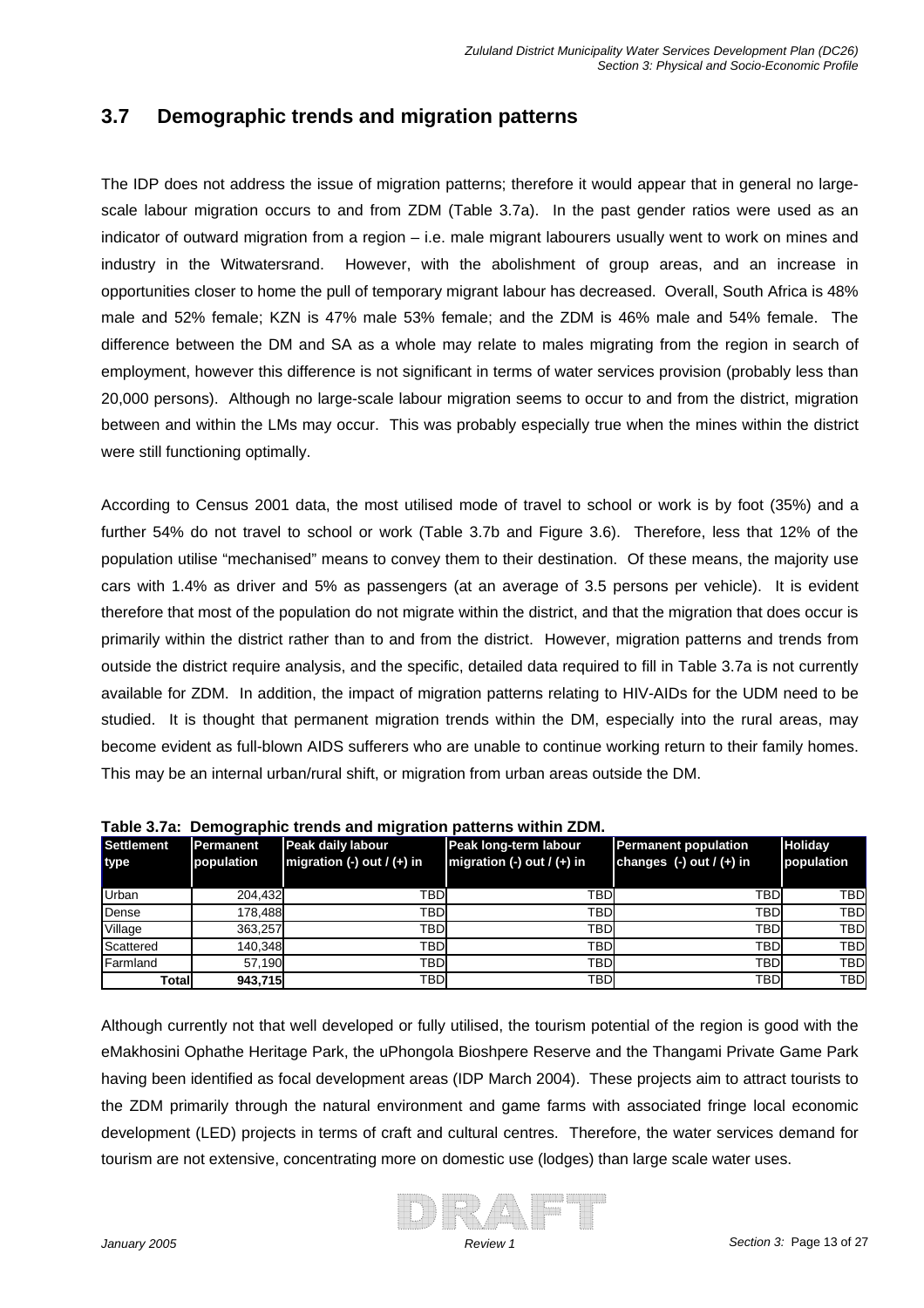### **3.7 Demographic trends and migration patterns**

The IDP does not address the issue of migration patterns; therefore it would appear that in general no largescale labour migration occurs to and from ZDM (Table 3.7a). In the past gender ratios were used as an indicator of outward migration from a region – i.e. male migrant labourers usually went to work on mines and industry in the Witwatersrand. However, with the abolishment of group areas, and an increase in opportunities closer to home the pull of temporary migrant labour has decreased. Overall, South Africa is 48% male and 52% female; KZN is 47% male 53% female; and the ZDM is 46% male and 54% female. The difference between the DM and SA as a whole may relate to males migrating from the region in search of employment, however this difference is not significant in terms of water services provision (probably less than 20,000 persons). Although no large-scale labour migration seems to occur to and from the district, migration between and within the LMs may occur. This was probably especially true when the mines within the district were still functioning optimally.

According to Census 2001 data, the most utilised mode of travel to school or work is by foot (35%) and a further 54% do not travel to school or work (Table 3.7b and Figure 3.6). Therefore, less that 12% of the population utilise "mechanised" means to convey them to their destination. Of these means, the majority use cars with 1.4% as driver and 5% as passengers (at an average of 3.5 persons per vehicle). It is evident therefore that most of the population do not migrate within the district, and that the migration that does occur is primarily within the district rather than to and from the district. However, migration patterns and trends from outside the district require analysis, and the specific, detailed data required to fill in Table 3.7a is not currently available for ZDM. In addition, the impact of migration patterns relating to HIV-AIDs for the UDM need to be studied. It is thought that permanent migration trends within the DM, especially into the rural areas, may become evident as full-blown AIDS sufferers who are unable to continue working return to their family homes. This may be an internal urban/rural shift, or migration from urban areas outside the DM.

| . avı <del>c</del> v. <i>ı</i> a |            | <u>Demographic trends and migration patterns within ZDM.</u> |                                |                              |            |  |  |  |  |  |
|----------------------------------|------------|--------------------------------------------------------------|--------------------------------|------------------------------|------------|--|--|--|--|--|
| Settlement                       | Permanent  | Peak daily labour                                            | Peak long-term labour          | <b>Permanent population</b>  | Holiday    |  |  |  |  |  |
| <b>type</b>                      | population | migration $(-)$ out $/ (+)$ in                               | migration $(-)$ out $/ (+)$ in | changes $(-)$ out $/ (+)$ in | population |  |  |  |  |  |
|                                  |            |                                                              |                                |                              |            |  |  |  |  |  |
| Urban                            | 204.432    | <b>TBDI</b>                                                  | <b>TBD</b>                     | TBD                          | <b>TBD</b> |  |  |  |  |  |
| Dense                            | 178.488    | TBD                                                          | <b>TBD</b>                     | <b>TBD</b>                   | <b>TBD</b> |  |  |  |  |  |
| Village                          | 363.257    | TBD                                                          | <b>TBD</b>                     | <b>TBD</b>                   | <b>TBD</b> |  |  |  |  |  |
| Scattered                        | 140,348    | <b>TBDI</b>                                                  | <b>TBD</b>                     | <b>TBD</b>                   | <b>TBD</b> |  |  |  |  |  |
| Farmland                         | 57.190     | TBD                                                          | <b>TBD</b>                     | <b>TBD</b>                   | <b>TBD</b> |  |  |  |  |  |
| Totall                           | 943,715    | <b>TBDI</b>                                                  | <b>TBD</b>                     | <b>TBD</b>                   | <b>TBD</b> |  |  |  |  |  |

| Table 3.7a: Demographic trends and migration patterns within ZDM. |
|-------------------------------------------------------------------|
|-------------------------------------------------------------------|

Although currently not that well developed or fully utilised, the tourism potential of the region is good with the eMakhosini Ophathe Heritage Park, the uPhongola Bioshpere Reserve and the Thangami Private Game Park having been identified as focal development areas (IDP March 2004). These projects aim to attract tourists to the ZDM primarily through the natural environment and game farms with associated fringe local economic development (LED) projects in terms of craft and cultural centres. Therefore, the water services demand for tourism are not extensive, concentrating more on domestic use (lodges) than large scale water uses.

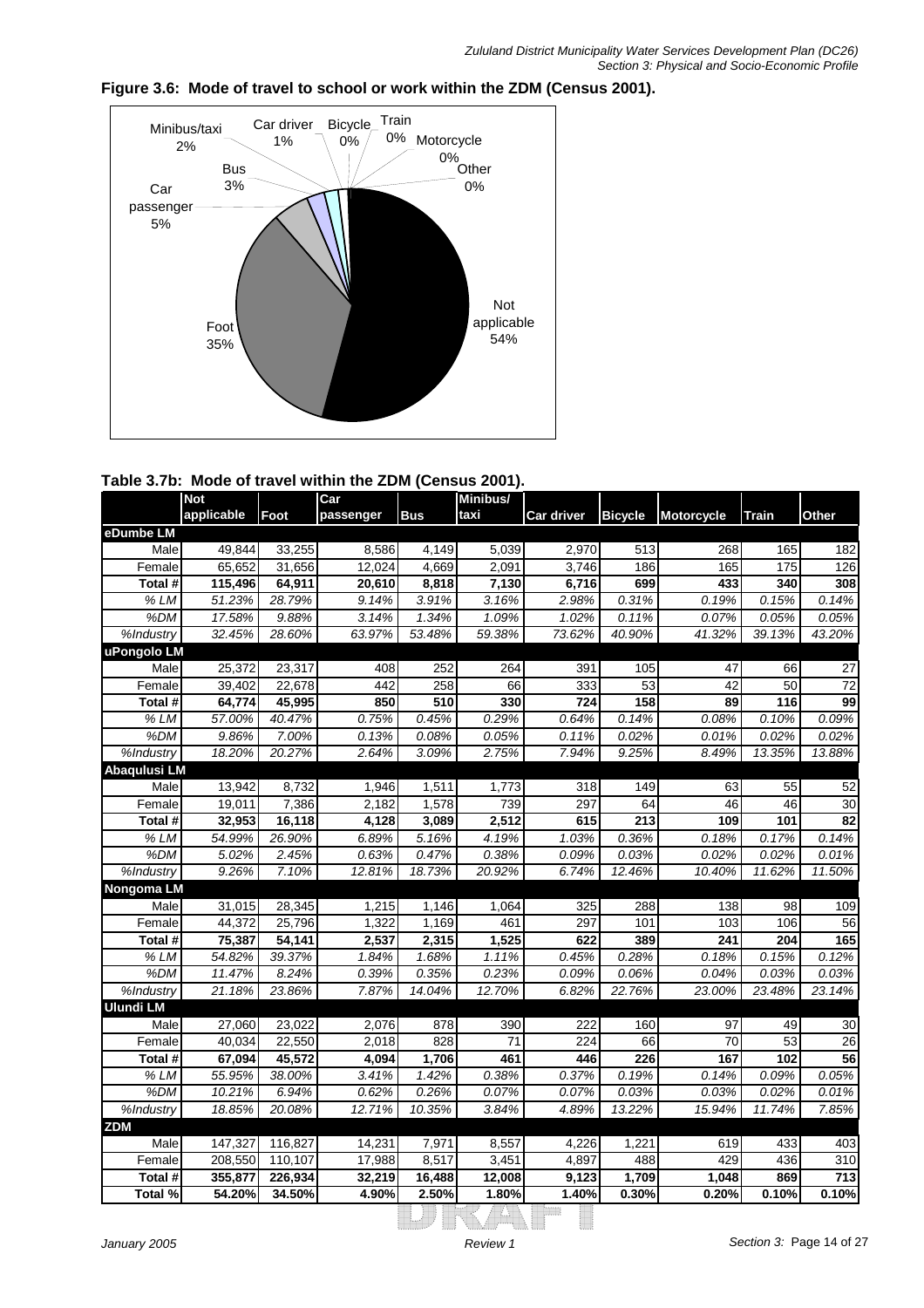

#### **Figure 3.6: Mode of travel to school or work within the ZDM (Census 2001).**

| Table 3.7b: Mode of travel within the ZDM (Census 2001). |  |
|----------------------------------------------------------|--|
|                                                          |  |

|                    | <b>Not</b> |         | Car       |            | Minibus/        |                   |                  |                   |              |                  |
|--------------------|------------|---------|-----------|------------|-----------------|-------------------|------------------|-------------------|--------------|------------------|
|                    | applicable | Foot    | passenger | <b>Bus</b> | taxi            | <b>Car driver</b> | <b>Bicycle</b>   | <b>Motorcycle</b> | <b>Train</b> | Other            |
| eDumbe LM          |            |         |           |            |                 |                   |                  |                   |              |                  |
| Male               | 49,844     | 33,255  | 8,586     | 4,149      | 5,039           | 2,970             | $\overline{513}$ | 268               | 165          | 182              |
| Female             | 65.652     | 31,656  | 12.024    | 4.669      | 2.091           | 3.746             | 186              | 165               | 175          | 126              |
| Total #            | 115,496    | 64,911  | 20,610    | 8,818      | 7,130           | 6,716             | 699              | 433               | 340          | 308              |
| % LM               | 51.23%     | 28.79%  | 9.14%     | 3.91%      | 3.16%           | 2.98%             | 0.31%            | 0.19%             | 0.15%        | 0.14%            |
| %DM                | 17.58%     | 9.88%   | 3.14%     | 1.34%      | 1.09%           | 1.02%             | 0.11%            | 0.07%             | 0.05%        | 0.05%            |
| %Industry          | 32.45%     | 28.60%  | 63.97%    | 53.48%     | 59.38%          | 73.62%            | 40.90%           | 41.32%            | 39.13%       | 43.20%           |
| uPongolo LM        |            |         |           |            |                 |                   |                  |                   |              |                  |
| Male               | 25,372     | 23,317  | 408       | 252        | 264             | 391               | 105              | 47                | 66           | 27               |
| Female             | 39,402     | 22,678  | 442       | 258        | 66              | 333               | 53               | 42                | 50           | $\overline{72}$  |
| Total #            | 64,774     | 45,995  | 850       | 510        | 330             | 724               | 158              | 89                | 116          | 99               |
| % LM               | 57.00%     | 40.47%  | 0.75%     | 0.45%      | 0.29%           | 0.64%             | 0.14%            | 0.08%             | 0.10%        | 0.09%            |
| %DM                | 9.86%      | 7.00%   | 0.13%     | 0.08%      | 0.05%           | 0.11%             | 0.02%            | 0.01%             | 0.02%        | 0.02%            |
| %Industry          | 18.20%     | 20.27%  | 2.64%     | 3.09%      | 2.75%           | 7.94%             | 9.25%            | 8.49%             | 13.35%       | 13.88%           |
| Abaqulusi LM       |            |         |           |            |                 |                   |                  |                   |              |                  |
| Male               | 13,942     | 8,732   | 1,946     | 1,511      | 1,773           | 318               | 149              | 63                | 55           | 52               |
| Female             | 19,011     | 7,386   | 2,182     | 1,578      | 739             | 297               | 64               | 46                | 46           | $\overline{30}$  |
| Total #            | 32,953     | 16,118  | 4,128     | 3,089      | 2,512           | 615               | 213              | 109               | 101          | 82               |
| $\overline{\%}$ LM | 54.99%     | 26.90%  | 6.89%     | 5.16%      | 4.19%           | 1.03%             | 0.36%            | 0.18%             | 0.17%        | 0.14%            |
| %DM                | 5.02%      | 2.45%   | 0.63%     | 0.47%      | 0.38%           | 0.09%             | 0.03%            | 0.02%             | 0.02%        | 0.01%            |
| %Industry          | 9.26%      | 7.10%   | 12.81%    | 18.73%     | 20.92%          | 6.74%             | 12.46%           | 10.40%            | 11.62%       | 11.50%           |
| Nongoma LM         |            |         |           |            |                 |                   |                  |                   |              |                  |
| Male               | 31,015     | 28,345  | 1,215     | 1,146      | 1,064           | 325               | 288              | 138               | 98           | 109              |
| Female             | 44,372     | 25,796  | 1,322     | 1,169      | 461             | 297               | 101              | 103               | 106          | 56               |
| Total #            | 75,387     | 34,141  | 2,537     | 2,315      | 1,525           | 622               | 389              | 241               | 204          | 165              |
| % LM               | 54.82%     | 39.37%  | 1.84%     | 1.68%      | 1.11%           | 0.45%             | 0.28%            | 0.18%             | 0.15%        | 0.12%            |
| %DM                | 11.47%     | 8.24%   | 0.39%     | 0.35%      | 0.23%           | 0.09%             | 0.06%            | 0.04%             | 0.03%        | 0.03%            |
| %Industry          | 21.18%     | 23.86%  | 7.87%     | 14.04%     | 12.70%          | 6.82%             | 22.76%           | 23.00%            | 23.48%       | 23.14%           |
| <b>Ulundi LM</b>   |            |         |           |            |                 |                   |                  |                   |              |                  |
| Male               | 27,060     | 23,022  | 2,076     | 878        | 390             | 222               | 160              | 97                | 49           | 30               |
| Female             | 40.034     | 22,550  | 2,018     | 828        | $\overline{71}$ | 224               | 66               | 70                | 53           | 26               |
| Total #            | 67,094     | 45,572  | 4,094     | 1,706      | 461             | 446               | 226              | 167               | 102          | 56               |
| % LM               | 55.95%     | 38.00%  | 3.41%     | 1.42%      | 0.38%           | 0.37%             | 0.19%            | 0.14%             | 0.09%        | 0.05%            |
| %DM                | 10.21%     | 6.94%   | 0.62%     | 0.26%      | 0.07%           | 0.07%             | 0.03%            | 0.03%             | 0.02%        | 0.01%            |
| %Industry          | 18.85%     | 20.08%  | 12.71%    | 10.35%     | 3.84%           | 4.89%             | 13.22%           | 15.94%            | 11.74%       | 7.85%            |
| <b>ZDM</b>         |            |         |           |            |                 |                   |                  |                   |              |                  |
| Male               | 147,327    | 116,827 | 14,231    | 7,971      | 8,557           | 4,226             | 1,221            | 619               | 433          | 403              |
| Female             | 208,550    | 110,107 | 17,988    | 8,517      | 3,451           | 4,897             | 488              | 429               | 436          | $\overline{310}$ |
| Total #            | 355,877    | 226,934 | 32,219    | 16,488     | 12,008          | 9,123             | 1,709            | 1,048             | 869          | 713              |
| Total %            | 54.20%     | 34.50%  | 4.90%     | 2.50%      | 1.80%           | 1.40%             | 0.30%            | 0.20%             | 0.10%        | 0.10%            |
|                    |            |         |           |            |                 |                   |                  |                   |              |                  |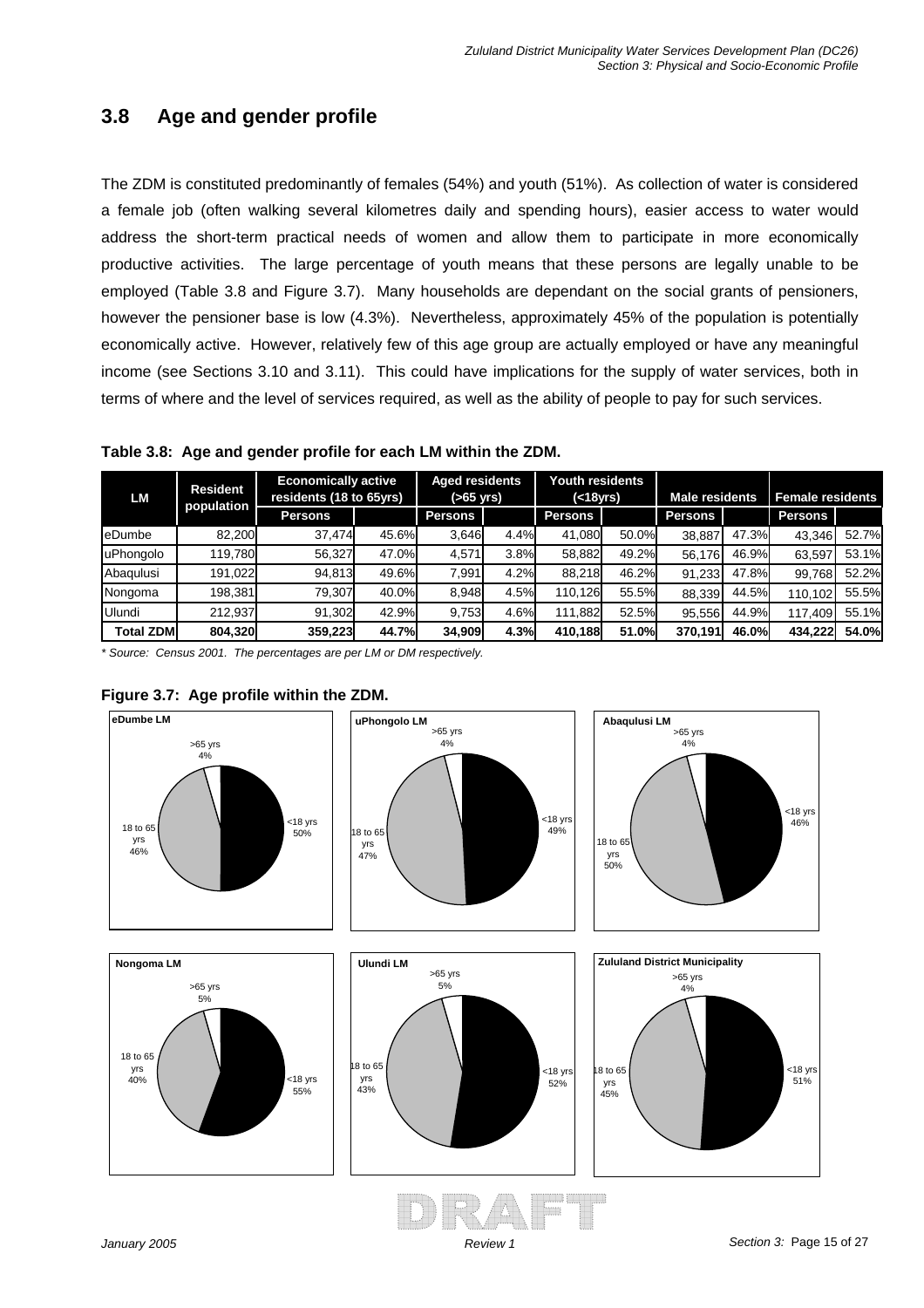# **3.8 Age and gender profile**

The ZDM is constituted predominantly of females (54%) and youth (51%). As collection of water is considered a female job (often walking several kilometres daily and spending hours), easier access to water would address the short-term practical needs of women and allow them to participate in more economically productive activities. The large percentage of youth means that these persons are legally unable to be employed (Table 3.8 and Figure 3.7). Many households are dependant on the social grants of pensioners, however the pensioner base is low (4.3%). Nevertheless, approximately 45% of the population is potentially economically active. However, relatively few of this age group are actually employed or have any meaningful income (see Sections 3.10 and 3.11). This could have implications for the supply of water services, both in terms of where and the level of services required, as well as the ability of people to pay for such services.

**Table 3.8: Age and gender profile for each LM within the ZDM.** 

| LM               | <b>Resident</b> | <b>Economically active</b><br>residents (18 to 65yrs) |       | <b>Aged residents</b><br>(>65 yrs) |      | <b>Youth residents</b><br>( < 18yrs) |       | <b>Male residents</b> |       | <b>Female residents</b> |       |
|------------------|-----------------|-------------------------------------------------------|-------|------------------------------------|------|--------------------------------------|-------|-----------------------|-------|-------------------------|-------|
|                  | population      | <b>Persons</b>                                        |       | <b>Persons</b>                     |      | <b>Persons</b>                       |       | <b>Persons</b>        |       | <b>Persons</b>          |       |
| <b>l</b> eDumbe  | 82,200          | 37.474                                                | 45.6% | 3.646                              | 4.4% | 41.080                               | 50.0% | 38.887                | 47.3% | 43.346                  | 52.7% |
| uPhongolo        | 119,780         | 56,327                                                | 47.0% | 4.571                              | 3.8% | 58,882                               | 49.2% | 56.176                | 46.9% | 63,597                  | 53.1% |
| Abagulusi        | 191,022         | 94,813                                                | 49.6% | 7.991                              | 4.2% | 88.218                               | 46.2% | 91.233                | 47.8% | 99.768                  | 52.2% |
| Nongoma          | 198,381         | 79.307                                                | 40.0% | 8.948                              | 4.5% | 110,126                              | 55.5% | 88,339                | 44.5% | 110.102                 | 55.5% |
| Ulundi           | 212.937         | 91.302                                                | 42.9% | 9,753                              | 4.6% | 111.882                              | 52.5% | 95,556                | 44.9% | 117.409                 | 55.1% |
| <b>Total ZDM</b> | 804,320         | 359.223                                               | 44.7% | 34.909                             | 4.3% | 410.188                              | 51.0% | 370.191               | 46.0% | 434.222                 | 54.0% |

*\* Source: Census 2001. The percentages are per LM or DM respectively.*



#### **Figure 3.7: Age profile within the ZDM.**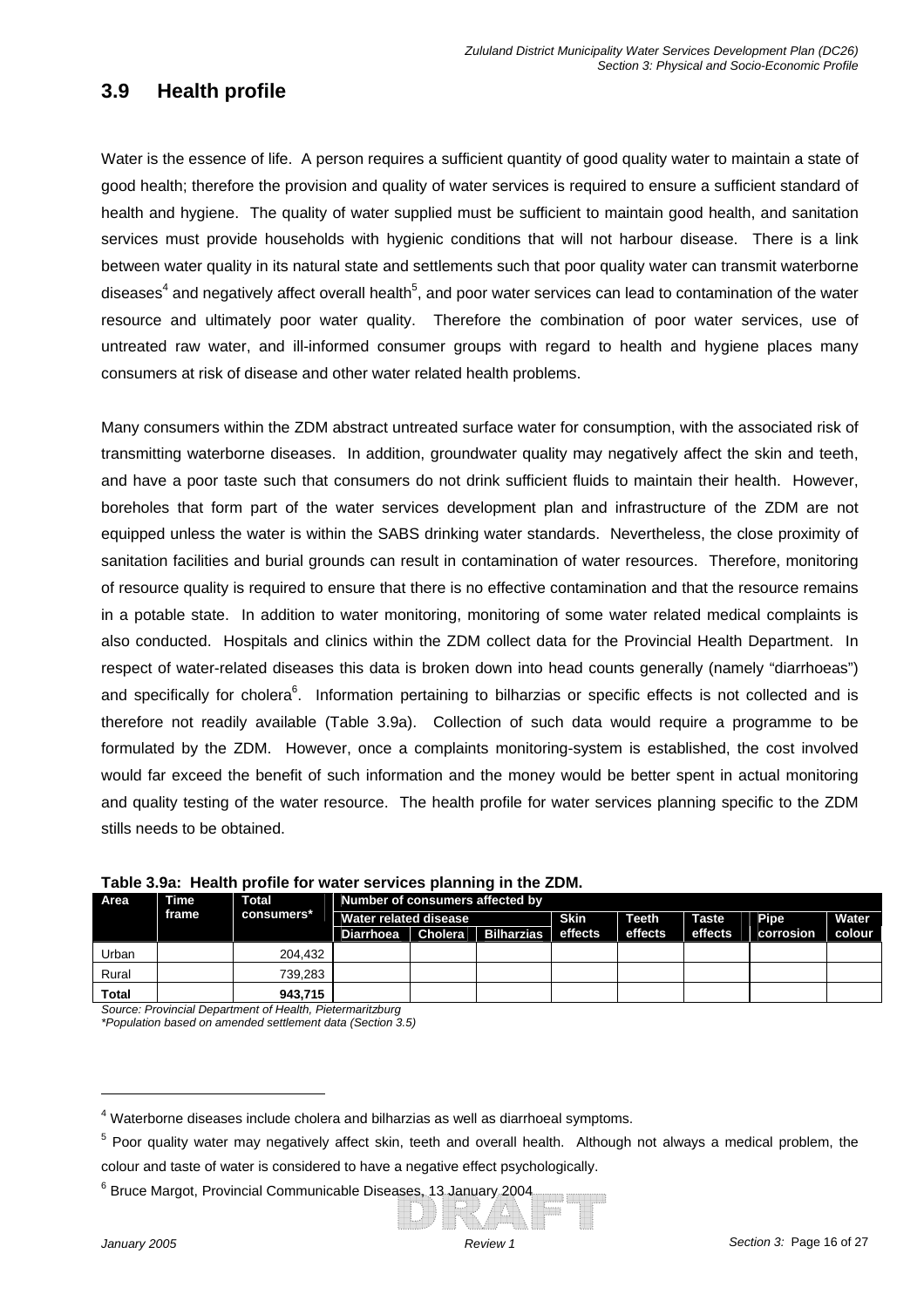### **3.9 Health profile**

Water is the essence of life. A person requires a sufficient quantity of good quality water to maintain a state of good health; therefore the provision and quality of water services is required to ensure a sufficient standard of health and hygiene. The quality of water supplied must be sufficient to maintain good health, and sanitation services must provide households with hygienic conditions that will not harbour disease. There is a link between water quality in its natural state and settlements such that poor quality water can transmit waterborne diseases<sup>4</sup> and negatively affect overall health<sup>5</sup>, and poor water services can lead to contamination of the water resource and ultimately poor water quality. Therefore the combination of poor water services, use of untreated raw water, and ill-informed consumer groups with regard to health and hygiene places many consumers at risk of disease and other water related health problems.

Many consumers within the ZDM abstract untreated surface water for consumption, with the associated risk of transmitting waterborne diseases. In addition, groundwater quality may negatively affect the skin and teeth, and have a poor taste such that consumers do not drink sufficient fluids to maintain their health. However, boreholes that form part of the water services development plan and infrastructure of the ZDM are not equipped unless the water is within the SABS drinking water standards. Nevertheless, the close proximity of sanitation facilities and burial grounds can result in contamination of water resources. Therefore, monitoring of resource quality is required to ensure that there is no effective contamination and that the resource remains in a potable state. In addition to water monitoring, monitoring of some water related medical complaints is also conducted. Hospitals and clinics within the ZDM collect data for the Provincial Health Department. In respect of water-related diseases this data is broken down into head counts generally (namely "diarrhoeas") and specifically for cholera<sup>6</sup>. Information pertaining to bilharzias or specific effects is not collected and is therefore not readily available (Table 3.9a). Collection of such data would require a programme to be formulated by the ZDM. However, once a complaints monitoring-system is established, the cost involved would far exceed the benefit of such information and the money would be better spent in actual monitoring and quality testing of the water resource. The health profile for water services planning specific to the ZDM stills needs to be obtained.

| Area         | Time  | <b>Total</b> | Number of consumers affected by |                       |                    |         |              |              |             |        |  |
|--------------|-------|--------------|---------------------------------|-----------------------|--------------------|---------|--------------|--------------|-------------|--------|--|
|              | frame | consumers*   |                                 | Water related disease |                    |         | <b>Teeth</b> | <b>Taste</b> | <b>Pipe</b> | Water  |  |
|              |       |              | Diarrhoea                       |                       | Cholera Bilharzias | effects | effects      | effects      | corrosion   | colour |  |
| Urban        |       | 204.432      |                                 |                       |                    |         |              |              |             |        |  |
| Rural        |       | 739.283      |                                 |                       |                    |         |              |              |             |        |  |
| <b>Total</b> |       | 943.715      |                                 |                       |                    |         |              |              |             |        |  |

#### **Table 3.9a: Health profile for water services planning in the ZDM.**

*Source: Provincial Department of Health, Pietermaritzburg \*Population based on amended settlement data (Section 3.5)*

 $<sup>4</sup>$  Waterborne diseases include cholera and bilharzias as well as diarrhoeal symptoms.</sup>

<sup>&</sup>lt;sup>5</sup> Poor quality water may negatively affect skin, teeth and overall health. Although not always a medical problem, the colour and taste of water is considered to have a negative effect psychologically.

<sup>&</sup>lt;sup>6</sup> Bruce Margot, Provincial Communicable Diseases, 13 January 2004.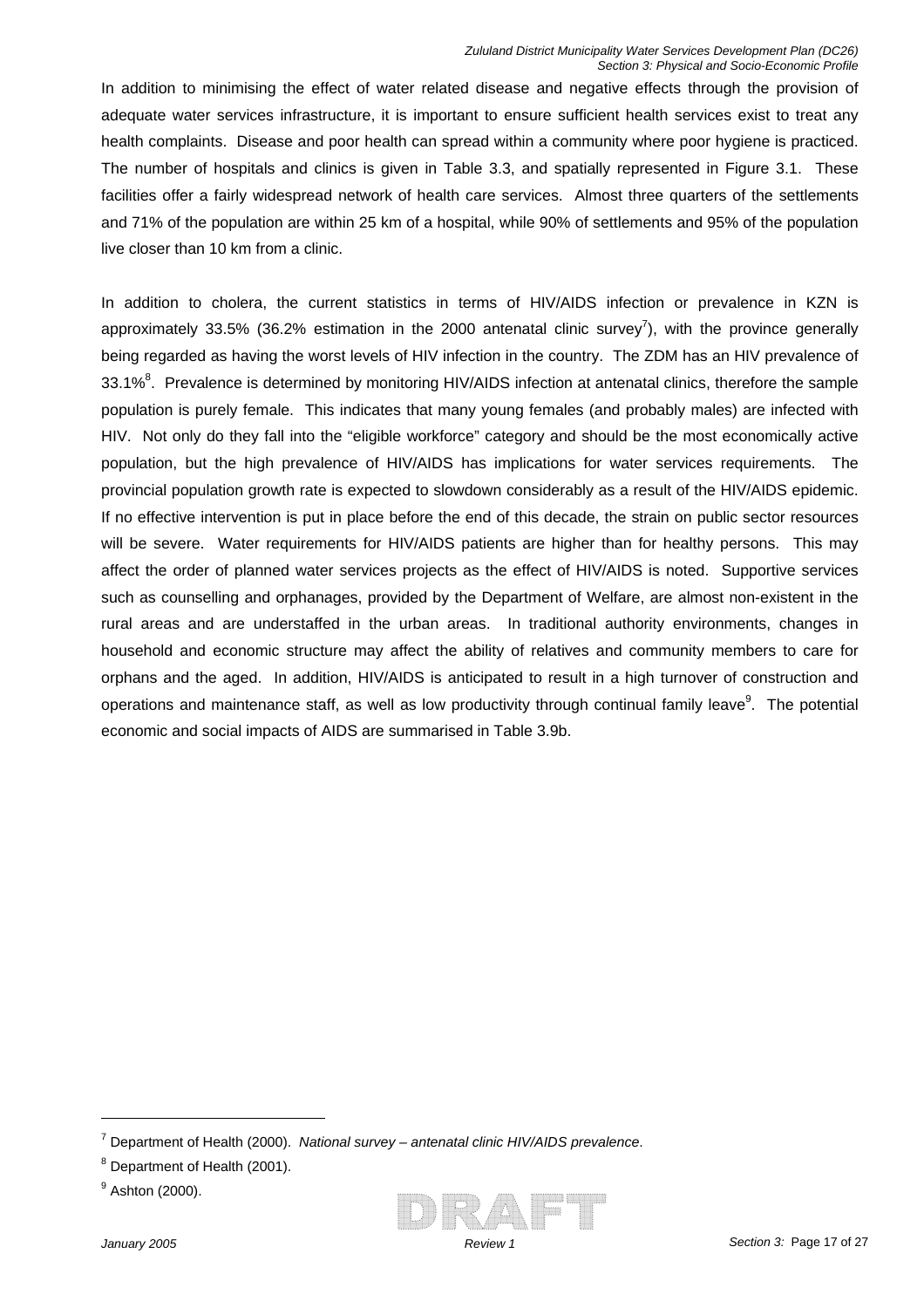In addition to minimising the effect of water related disease and negative effects through the provision of adequate water services infrastructure, it is important to ensure sufficient health services exist to treat any health complaints. Disease and poor health can spread within a community where poor hygiene is practiced. The number of hospitals and clinics is given in Table 3.3, and spatially represented in Figure 3.1. These facilities offer a fairly widespread network of health care services. Almost three quarters of the settlements and 71% of the population are within 25 km of a hospital, while 90% of settlements and 95% of the population live closer than 10 km from a clinic.

33.1%<sup>8</sup>. Prevalence is determined by monitoring HIV/AIDS infection at antenatal clinics, therefore the sample population is purely female. This indicates that many young females (and probably males) are infected with In addition to cholera, the current statistics in terms of HIV/AIDS infection or prevalence in KZN is approximately 33.5% (36.2% estimation in the 2000 antenatal clinic survey<sup>7</sup>), with the province generally being regarded as having the worst levels of HIV infection in the country. The ZDM has an HIV prevalence of HIV. Not only do they fall into the "eligible workforce" category and should be the most economically active population, but the high prevalence of HIV/AIDS has implications for water services requirements. The provincial population growth rate is expected to slowdown considerably as a result of the HIV/AIDS epidemic. If no effective intervention is put in place before the end of this decade, the strain on public sector resources will be severe. Water requirements for HIV/AIDS patients are higher than for healthy persons. This may affect the order of planned water services projects as the effect of HIV/AIDS is noted. Supportive services such as counselling and orphanages, provided by the Department of Welfare, are almost non-existent in the rural areas and are understaffed in the urban areas. In traditional authority environments, changes in household and economic structure may affect the ability of relatives and community members to care for orphans and the aged. In addition, HIV/AIDS is anticipated to result in a high turnover of construction and operations and maintenance staff, as well as low productivity through continual family leave<sup>9</sup>. The potential economic and social impacts of AIDS are summarised in Table 3.9b.



<sup>7</sup> Department of Health (2000). *National survey – antenatal clinic HIV/AIDS prevalence*.

<sup>&</sup>lt;sup>8</sup> Department of Health (2001).

<sup>&</sup>lt;sup>9</sup> Ashton (2000).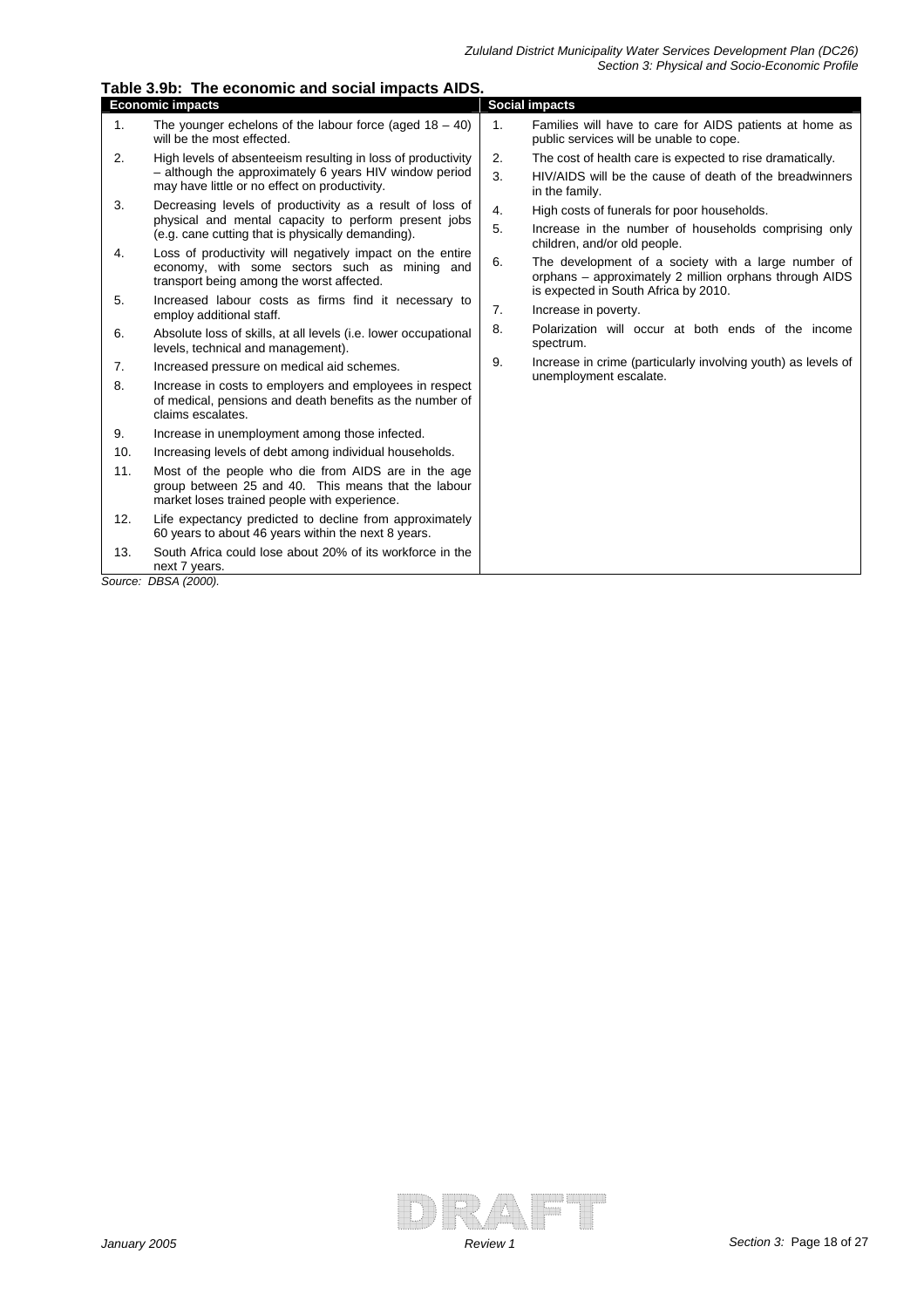|     | rapic o.op. The economic and social impacts AIDO.                                                                                                          |    |                                                                                                                                                       |
|-----|------------------------------------------------------------------------------------------------------------------------------------------------------------|----|-------------------------------------------------------------------------------------------------------------------------------------------------------|
|     | <b>Economic impacts</b>                                                                                                                                    |    | <b>Social impacts</b>                                                                                                                                 |
| 1.  | The younger echelons of the labour force (aged $18 - 40$ )<br>will be the most effected.                                                                   | 1. | Families will have to care for AIDS patients at home as<br>public services will be unable to cope.                                                    |
| 2.  | High levels of absenteeism resulting in loss of productivity                                                                                               | 2. | The cost of health care is expected to rise dramatically.                                                                                             |
|     | - although the approximately 6 years HIV window period<br>may have little or no effect on productivity.                                                    | 3. | HIV/AIDS will be the cause of death of the breadwinners<br>in the family.                                                                             |
| 3.  | Decreasing levels of productivity as a result of loss of                                                                                                   | 4. | High costs of funerals for poor households.                                                                                                           |
|     | physical and mental capacity to perform present jobs<br>(e.g. cane cutting that is physically demanding).                                                  | 5. | Increase in the number of households comprising only<br>children, and/or old people.                                                                  |
| 4.  | Loss of productivity will negatively impact on the entire<br>economy, with some sectors such as mining and<br>transport being among the worst affected.    | 6. | The development of a society with a large number of<br>orphans - approximately 2 million orphans through AIDS<br>is expected in South Africa by 2010. |
| 5.  | Increased labour costs as firms find it necessary to<br>employ additional staff.                                                                           | 7. | Increase in poverty.                                                                                                                                  |
| 6.  | Absolute loss of skills, at all levels (i.e. lower occupational<br>levels, technical and management).                                                      | 8. | Polarization will occur at both ends of the income<br>spectrum.                                                                                       |
| 7.  | Increased pressure on medical aid schemes.                                                                                                                 | 9. | Increase in crime (particularly involving youth) as levels of                                                                                         |
| 8.  | Increase in costs to employers and employees in respect<br>of medical, pensions and death benefits as the number of<br>claims escalates.                   |    | unemployment escalate.                                                                                                                                |
| 9.  | Increase in unemployment among those infected.                                                                                                             |    |                                                                                                                                                       |
| 10. | Increasing levels of debt among individual households.                                                                                                     |    |                                                                                                                                                       |
| 11. | Most of the people who die from AIDS are in the age<br>group between 25 and 40. This means that the labour<br>market loses trained people with experience. |    |                                                                                                                                                       |
| 12. | Life expectancy predicted to decline from approximately<br>60 years to about 46 years within the next 8 years.                                             |    |                                                                                                                                                       |
| 13. | South Africa could lose about 20% of its workforce in the<br>next 7 years.                                                                                 |    |                                                                                                                                                       |

**Table 3.9b: The economic and social impacts AIDS.** 

*Source: DBSA (2000).*

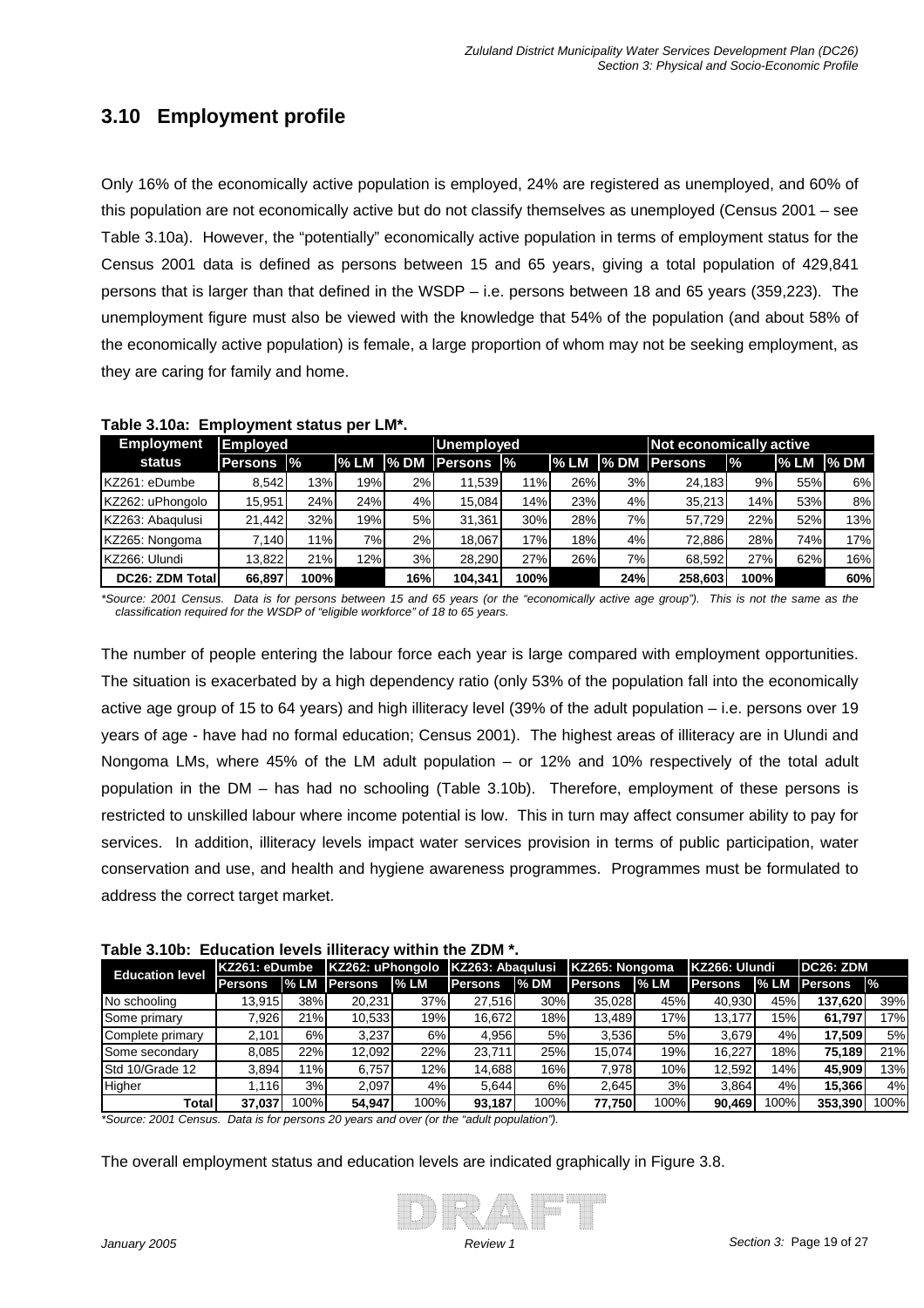# **3.10 Employment profile**

Only 16% of the economically active population is employed, 24% are registered as unemployed, and 60% of this population are not economically active but do not classify themselves as unemployed (Census 2001 – see Table 3.10a). However, the "potentially" economically active population in terms of employment status for the Census 2001 data is defined as persons between 15 and 65 years, giving a total population of 429,841 persons that is larger than that defined in the WSDP – i.e. persons between 18 and 65 years (359,223). The unemployment figure must also be viewed with the knowledge that 54% of the population (and about 58% of the economically active population) is female, a large proportion of whom may not be seeking employment, as they are caring for family and home.

| <b>Employment</b>       | <b>Employed</b> |      |       | <b>Unemployed</b> |                          |       |      | Not economically active |                      |      |      |             |
|-------------------------|-----------------|------|-------|-------------------|--------------------------|-------|------|-------------------------|----------------------|------|------|-------------|
| status                  | Persons  %      |      | l% LM |                   | <b>I</b> % DM Persons I% |       | % LM |                         | <b>1% DM Persons</b> | l%   | % LM | <b>% DM</b> |
| KZ261: eDumbe           | 8.542           | 13%  | 19%   | 2%                | 11.539                   | 11%   | 26%  | 3%                      | 24.183               | 9%   | 55%  | 6%          |
| KZ262: uPhongolo        | 15.951          | 24%  | 24%   | 4%                | 15.084                   | 14%   | 23%  | 4%                      | 35.213               | 14%  | 53%  | 8%          |
| KZ263: Abaqulusi        | 21,442          | 32%  | 19%   | 5%                | 31.361                   | 30%   | 28%  | 7%                      | 57.729               | 22%  | 52%  | 13%         |
| KZ265: Nongoma          | 7.140           | 11%  | 7%1   | 2%                | 18.067                   | 17%   | 18%  | 4%                      | 72.886               | 28%  | 74%  | 17%         |
| KZ266: Ulundi           | 13.822          | 21%  | 12%   | 3%                | 28.290                   | 27%   | 26%  | 7%                      | 68.592               | 27%  | 62%  | 16%         |
| <b>DC26: ZDM Totall</b> | 66,897          | 100% |       | 16%               | 104.341                  | 100%l |      | 24%                     | 258,603              | 100% |      | 60%         |

| Table 3.10a: Employment status per LM*. |  |
|-----------------------------------------|--|
|                                         |  |

*\*Source: 2001 Census. Data is for persons between 15 and 65 years (or the "economically active age group"). This is not the same as the classification required for the WSDP of "eligible workforce" of 18 to 65 years.*

Nongoma LMs, where 45% of the LM adult population – or 12% and 10% respectively of the total adult population in the DM – has had no schooling (Table 3.10b). Therefore, employment of these persons is restricted to unskilled labour where income potential is low. This in turn may affect consumer ability to pay for services. In addition, illiteracy levels impact water services provision in terms of public participation, water conservation and use, and health and hygiene awareness programmes. Programmes must be formulated to address the correct target market. The number of people entering the labour force each year is large compared with employment opportunities. The situation is exacerbated by a high dependency ratio (only 53% of the population fall into the economically active age group of 15 to 64 years) and high illiteracy level (39% of the adult population – i.e. persons over 19 years of age - have had no formal education; Census 2001). The highest areas of illiteracy are in Ulundi and

|  | Table 3.10b: Education levels illiteracy within the ZDM *. |  |  |  |  |
|--|------------------------------------------------------------|--|--|--|--|
|--|------------------------------------------------------------|--|--|--|--|

| <b>Education level</b> | IKZ261: eDumbe |      | KZ262: uPhongolo   KZ263: Abagulusi |        |         |      | KZ265: Nongoma |      | KZ266: Ulundi  |      | <b>IDC26: ZDM</b>    |               |
|------------------------|----------------|------|-------------------------------------|--------|---------|------|----------------|------|----------------|------|----------------------|---------------|
|                        | <b>Persons</b> |      | <b>I% LM Persons</b>                | $%$ LM | Persons | % DM | <b>Persons</b> | %LM  | <b>Persons</b> |      | <b>I% LM Persons</b> | $\frac{9}{6}$ |
| No schooling           | 13.915         | 38%  | 20.231                              | 37%    | 27.516  | 30%  | 35.028         | 45%  | 40.930         | 45%  | 137.620              | 39%           |
| <b>Some primary</b>    | 7.926          | 21%  | 10.533                              | 19%    | 16.672  | 18%  | 13.489         | 17%  | 13.177         | 15%  | 61.797               | 17%           |
| Complete primary       | 2.101          | 6%   | 3.237                               | 6%     | 4.956   | 5%   | 3.536          | 5%   | 3.679          | 4%   | 17.509               | 5%            |
| Some secondary         | 8.085          | 22%  | 12.092                              | 22%    | 23.711  | 25%  | 15.074         | 19%  | 16.227         | 18%  | 75.189               | 21%           |
| Std 10/Grade 12        | 3.894          | 1%   | 6.757                               | 12%    | 14.688  | 16%  | 7.978          | 10%  | 12.592         | 14%  | 45.909               | 13%           |
| Higher                 | .116           | 3%   | 2.097                               | 4%     | 5.644   | 6%   | 2.645          | 3%   | 3.864          | 4%   | 15.366               | 4%            |
| Total                  | 37.037         | 100% | 54.947                              | 100%   | 93.187  | 100% | 77.750         | 100% | 90.469         | 100% | 353,390              | 100%          |

*\*Source: 2001 Census. Data is for persons 20 years and over (or the "adult population").*

The overall employment status and education levels are indicated graphically in Figure 3.8.

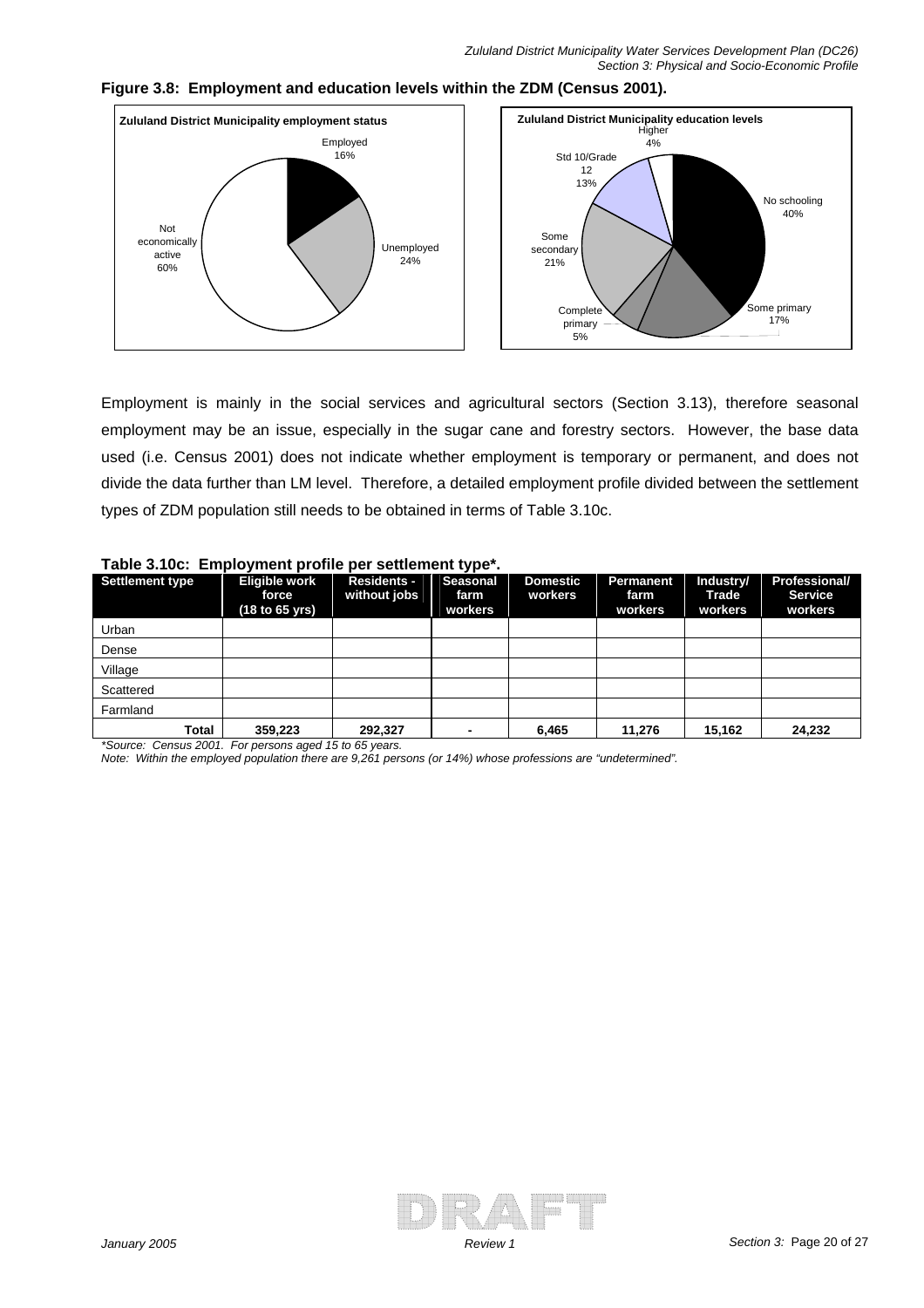

**Figure 3.8: Employment and education levels within the ZDM (Census 2001).** 

Employment is mainly in the social services and agricultural sectors (Section 3.13), therefore seasonal employment may be an issue, especially in the sugar cane and forestry sectors. However, the base data used (i.e. Census 2001) does not indicate whether employment is temporary or permanent, and does not divide the data further than LM level. Therefore, a detailed employment profile divided between the settlement types of ZDM population still needs to be obtained in terms of Table 3.10c.

| Settlement type | Eligible work<br>force<br>(18 to 65 yrs) | <b>Residents -</b><br>without jobs | <b>Seasonal</b><br>farm<br>workers | <b>Domestic</b><br>workers | Permanent<br>farm<br>workers | Industry/<br>Trade<br>workers | <b>Professional/</b><br><b>Service</b><br>workers |
|-----------------|------------------------------------------|------------------------------------|------------------------------------|----------------------------|------------------------------|-------------------------------|---------------------------------------------------|
| Urban           |                                          |                                    |                                    |                            |                              |                               |                                                   |
| Dense           |                                          |                                    |                                    |                            |                              |                               |                                                   |
| Village         |                                          |                                    |                                    |                            |                              |                               |                                                   |
| Scattered       |                                          |                                    |                                    |                            |                              |                               |                                                   |
| Farmland        |                                          |                                    |                                    |                            |                              |                               |                                                   |
| Total           | 359,223                                  | 292,327                            |                                    | 6.465                      | 11,276                       | 15,162                        | 24,232                                            |

#### **Table 3.10c: Employment profile per settlement type\*.**

*\*Source: Census 2001. For persons aged 15 to 65 years.* 

*Note: Within the employed population there are 9,261 persons (or 14%) whose professions are "undetermined".* 

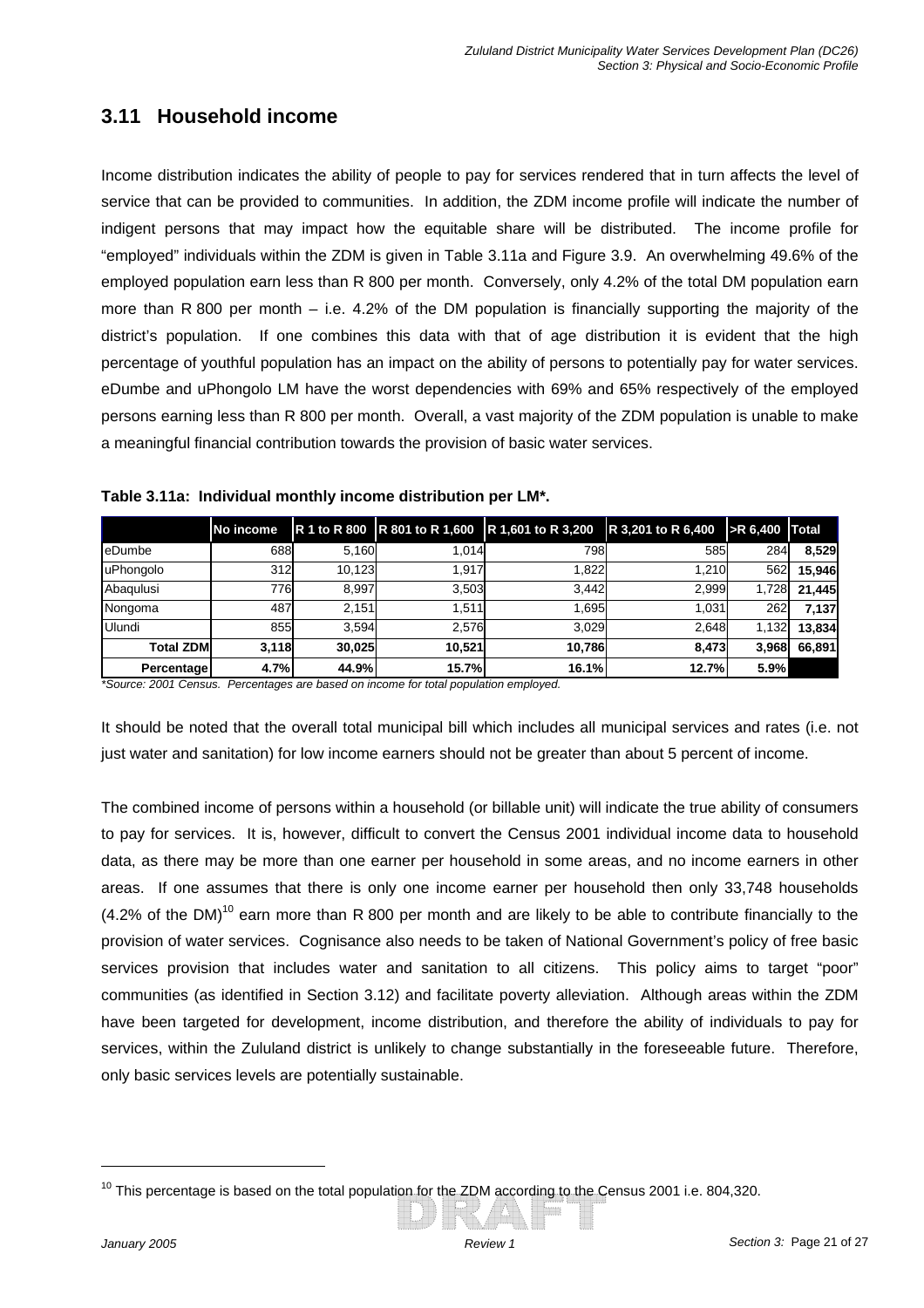# **3.11 Household income**

Income distribution indicates the ability of people to pay for services rendered that in turn affects the level of service that can be provided to communities. In addition, the ZDM income profile will indicate the number of indigent persons that may impact how the equitable share will be distributed. The income profile for "employed" individuals within the ZDM is given in Table 3.11a and Figure 3.9. An overwhelming 49.6% of the employed population earn less than R 800 per month. Conversely, only 4.2% of the total DM population earn more than R 800 per month – i.e. 4.2% of the DM population is financially supporting the majority of the district's population. If one combines this data with that of age distribution it is evident that the high percentage of youthful population has an impact on the ability of persons to potentially pay for water services. eDumbe and uPhongolo LM have the worst dependencies with 69% and 65% respectively of the employed persons earning less than R 800 per month. Overall, a vast majority of the ZDM population is unable to make a meaningful financial contribution towards the provision of basic water services.

|                  | No income |        |        | R 1 to R 800 R 801 to R 1,600 R 1,601 to R 3,200 | R 3,201 to R 6,400 | $\blacktriangleright$ R 6.400 Total |        |
|------------------|-----------|--------|--------|--------------------------------------------------|--------------------|-------------------------------------|--------|
| <b>I</b> eDumbe  | 688       | 5,160  | 1.014  | 798                                              | 585                | 284                                 | 8.529  |
| uPhongolo        | 312       | 10.123 | 1.917  | 1.822                                            | 1,210              | 562                                 | 15.946 |
| Abaqulusi        | 776       | 8.997  | 3.503  | 3.442                                            | 2,999              | 1,728                               | 21.445 |
| Nongoma          | 487       | 2.151  | 1.511  | 1.695                                            | 1.031              | 262                                 | 7.137  |
| Ulundi           | 855       | 3.594  | 2.576  | 3.029                                            | 2.648              | 1,132                               | 13.834 |
| <b>Total ZDM</b> | 3.118     | 30.025 | 10.521 | 10.786                                           | 8.473              | 3,968                               | 66.891 |
| Percentage       | 4.7%      | 44.9%  | 15.7%  | <b>16.1%</b>                                     | 12.7%              | 5.9%                                |        |

#### **Table 3.11a: Individual monthly income distribution per LM\*.**

\*Source: 2001 Census. Percentages are based on income for total population employed.

It should be noted that the overall total municipal bill which includes all municipal services and rates (i.e. not just water and sanitation) for low income earners should not be greater than about 5 percent of income.

The combined income of persons within a household (or billable unit) will indicate the true ability of consumers to pay for services. It is, however, difficult to convert the Census 2001 individual income data to household data, as there may be more than one earner per household in some areas, and no income earners in other areas. If one assumes that there is only one income earner per household then only 33,748 households  $(4.2\%$  of the DM)<sup>10</sup> earn more than R 800 per month and are likely to be able to contribute financially to the provision of water services. Cognisance also needs to be taken of National Government's policy of free basic services provision that includes water and sanitation to all citizens. This policy aims to target "poor" communities (as identified in Section 3.12) and facilitate poverty alleviation. Although areas within the ZDM have been targeted for development, income distribution, and therefore the ability of individuals to pay for services, within the Zululand district is unlikely to change substantially in the foreseeable future. Therefore, only basic services levels are potentially sustainable.

 $10$  This percentage is based on the total population for the ZDM according to the Census 2001 i.e. 804,320.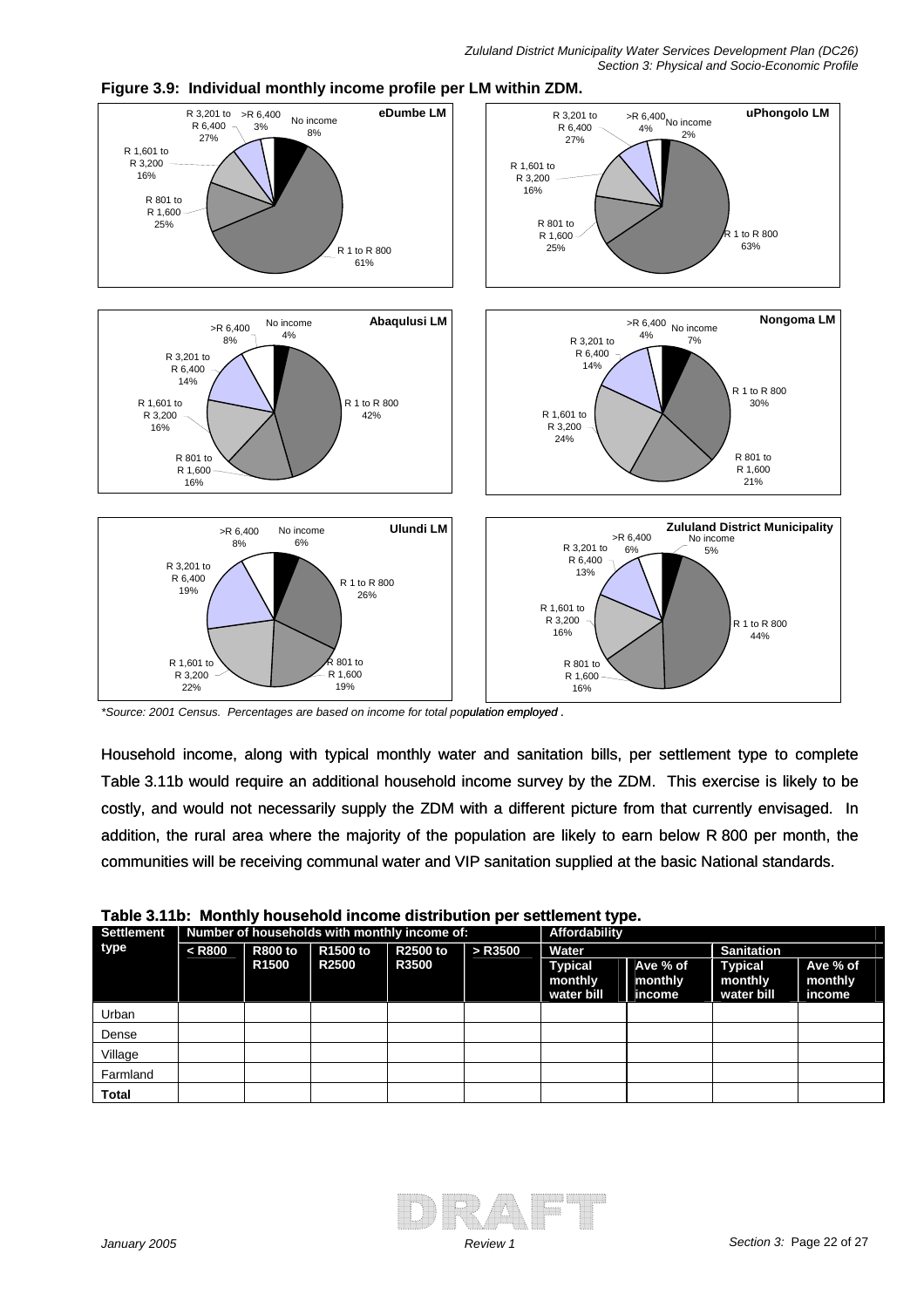

**Figure 3.9: Individual monthly income profile per LM within ZDM.** 

\*Source: 2001 Census. Percentages are based on income for total population employed.

Household income, along with typical monthly water and sanitation bills, per settlement type to complete Table 3.11b would require an additional household income survey by the ZDM. This exercise is likely to be costly, and would not necessarily supply the ZDM with a different picture from that currently envisaged. In addition, the rural area where the majority of the population are likely to earn below R 800 per month, the communities will be receiving communal water and VIP sanitation supplied at the basic National standards.

| rapic J. Fip. Monthly household income distribution per settlement type. |          |                |                                              |                 |               |                                         |                               |                                         |                               |  |  |
|--------------------------------------------------------------------------|----------|----------------|----------------------------------------------|-----------------|---------------|-----------------------------------------|-------------------------------|-----------------------------------------|-------------------------------|--|--|
| <b>Settlement</b>                                                        |          |                | Number of households with monthly income of: |                 | Affordability |                                         |                               |                                         |                               |  |  |
| type                                                                     | $<$ R800 | <b>R800 to</b> | R <sub>1500</sub> to                         | <b>R2500 to</b> | $>$ R3500     | Water                                   |                               | <b>Sanitation</b>                       |                               |  |  |
|                                                                          |          | <b>R1500</b>   | <b>R2500</b>                                 | <b>R3500</b>    |               | <b>Typical</b><br>monthly<br>water bill | Ave % of<br>monthly<br>income | <b>Typical</b><br>monthly<br>water bill | Ave % of<br>monthly<br>income |  |  |
| Urban                                                                    |          |                |                                              |                 |               |                                         |                               |                                         |                               |  |  |
| Dense                                                                    |          |                |                                              |                 |               |                                         |                               |                                         |                               |  |  |
| Village                                                                  |          |                |                                              |                 |               |                                         |                               |                                         |                               |  |  |
| Farmland                                                                 |          |                |                                              |                 |               |                                         |                               |                                         |                               |  |  |
| Total                                                                    |          |                |                                              |                 |               |                                         |                               |                                         |                               |  |  |

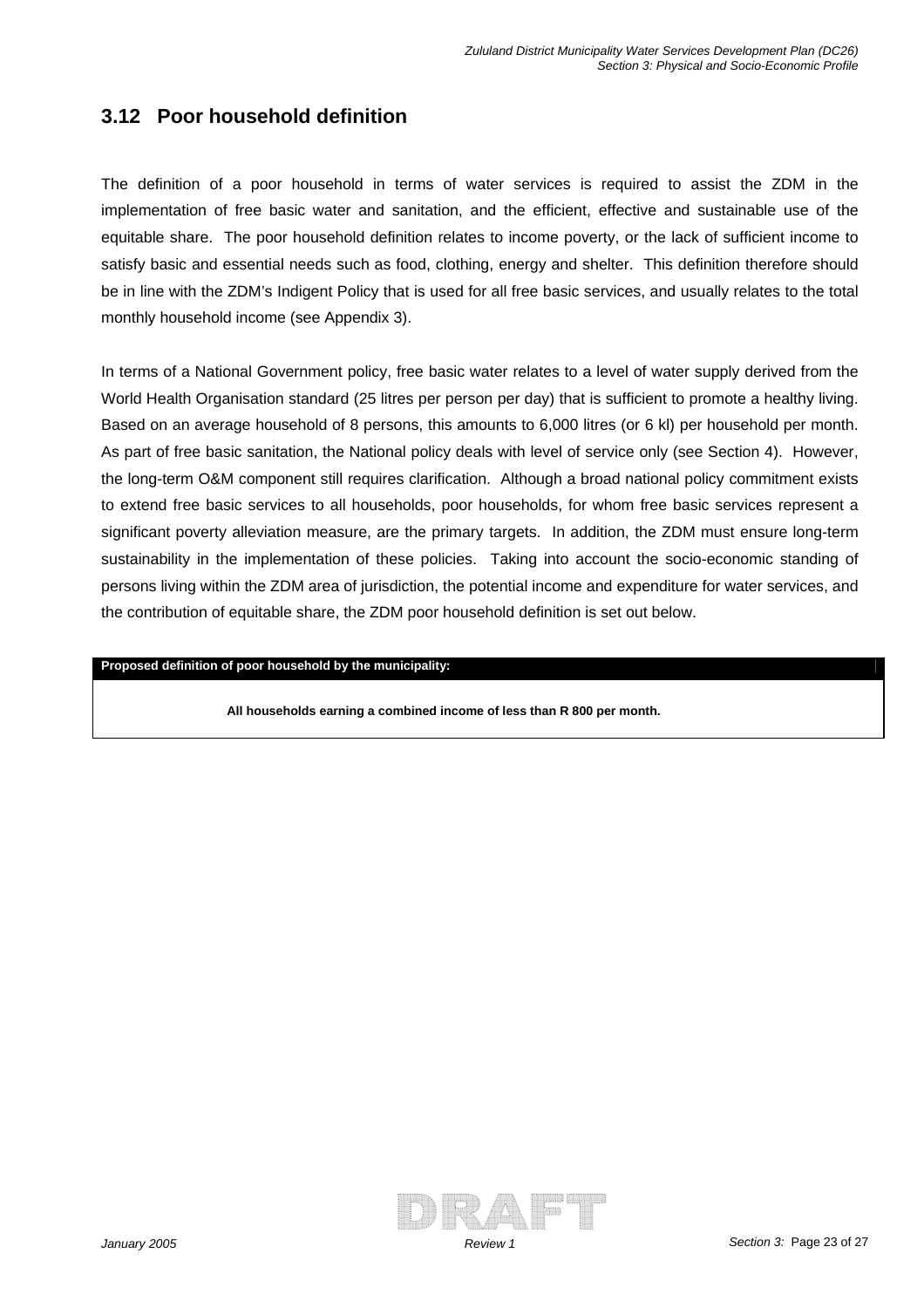### **3.12 Poor household definition**

The definition of a poor household in terms of water services is required to assist the ZDM in the implementation of free basic water and sanitation, and the efficient, effective and sustainable use of the equitable share. The poor household definition relates to income poverty, or the lack of sufficient income to satisfy basic and essential needs such as food, clothing, energy and shelter. This definition therefore should be in line with the ZDM's Indigent Policy that is used for all free basic services, and usually relates to the total monthly household income (see Appendix 3).

In terms of a National Government policy, free basic water relates to a level of water supply derived from the World Health Organisation standard (25 litres per person per day) that is sufficient to promote a healthy living. Based on an average household of 8 persons, this amounts to 6,000 litres (or 6 kl) per household per month. As part of free basic sanitation, the National policy deals with level of service only (see Section 4). However, the long-term O&M component still requires clarification. Although a broad national policy commitment exists to extend free basic services to all households, poor households, for whom free basic services represent a significant poverty alleviation measure, are the primary targets. In addition, the ZDM must ensure long-term sustainability in the implementation of these policies. Taking into account the socio-economic standing of persons living within the ZDM area of jurisdiction, the potential income and expenditure for water services, and the contribution of equitable share, the ZDM poor household definition is set out below.

#### **Proposed definition of poor household by the municipality:**

**All households earning a combined income of less than R 800 per month.** 

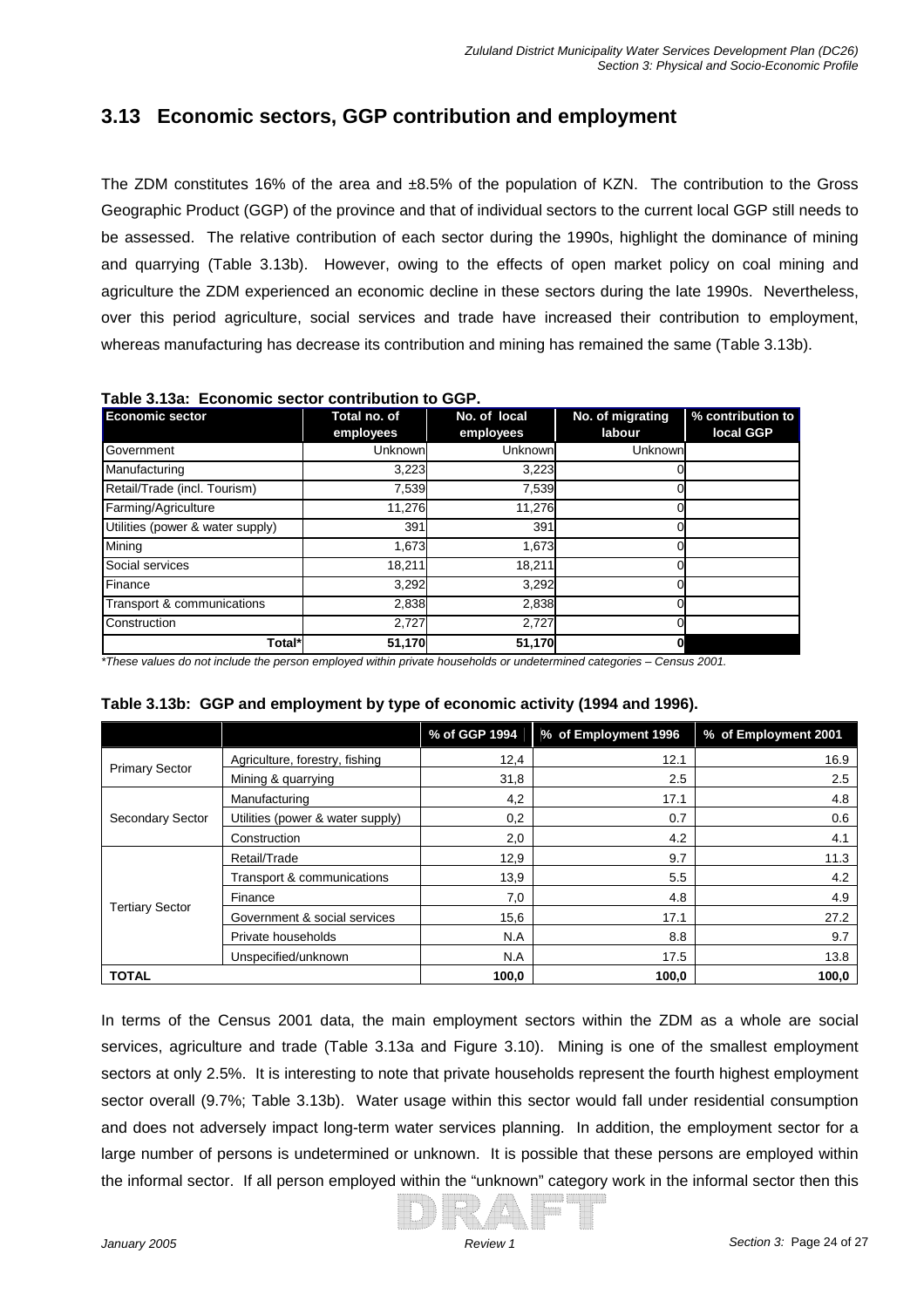# **3.13 Economic sectors, GGP contribution and employment**

over this period agriculture, social services and trade have increased their contribution to employment, whereas manufacturing has decrease its contribution and mining has remained the same (Table 3.13b). The ZDM constitutes 16% of the area and ±8.5% of the population of KZN. The contribution to the Gross Geographic Product (GGP) of the province and that of individual sectors to the current local GGP still needs to be assessed. The relative contribution of each sector during the 1990s, highlight the dominance of mining and quarrying (Table 3.13b). However, owing to the effects of open market policy on coal mining and agriculture the ZDM experienced an economic decline in these sectors during the late 1990s. Nevertheless,

| <b>Economic sector</b>           | Total no. of<br>employees | No. of local<br>employees | No. of migrating<br>labour | % contribution to<br>local GGP |
|----------------------------------|---------------------------|---------------------------|----------------------------|--------------------------------|
| Government                       | Unknown                   | Unknown                   | Unknown                    |                                |
| Manufacturing                    | 3,223                     | 3,223                     |                            |                                |
| Retail/Trade (incl. Tourism)     | 7,539                     | 7,539                     |                            |                                |
| Farming/Agriculture              | 11,276                    | 11,276                    |                            |                                |
| Utilities (power & water supply) | 391                       | 391                       |                            |                                |
| Mining                           | 1,673                     | 1,673                     |                            |                                |
| Social services                  | 18,211                    | 18,211                    |                            |                                |
| Finance                          | 3,292                     | 3,292                     |                            |                                |
| Transport & communications       | 2,838                     | 2,838                     |                            |                                |
| Construction                     | 2,727                     | 2,727                     |                            |                                |
| Total*                           | 51,170                    | 51,170                    | 0                          |                                |

#### **Table 3.13a: Economic sector contribution to GGP.**

*seholds or undetermined categories – Census 2001. \*These values do not include the person employed within private hou*

|                        |                                  | % of GGP 1994 | % of Employment 1996 | % of Employment 2001 |
|------------------------|----------------------------------|---------------|----------------------|----------------------|
|                        | Agriculture, forestry, fishing   | 12,4          | 12.1                 | 16.9                 |
| <b>Primary Sector</b>  | Mining & quarrying               | 31,8          | 2.5                  | $2.5\,$              |
| Secondary Sector       | Manufacturing                    | 4,2           | 17.1                 | 4.8                  |
|                        | Utilities (power & water supply) | 0,2           | 0.7                  | 0.6                  |
|                        | Construction                     | 2,0           | 4.2                  | 4.1                  |
| <b>Tertiary Sector</b> | Retail/Trade                     | 12,9          | 9.7                  | 11.3                 |
|                        | Transport & communications       | 13,9          | 5.5                  | 4.2                  |
|                        | Finance                          | 7,0           | 4.8                  | 4.9                  |
|                        | Government & social services     | 15,6          | 17.1                 | 27.2                 |
|                        | Private households               | N.A           | 8.8                  | 9.7                  |
|                        | Unspecified/unknown              | N.A           | 17.5                 | 13.8                 |
| <b>TOTAL</b>           |                                  | 100,0         | 100,0                | 100,0                |

#### **Table 3.13b: GGP and employment by type of economic activity (1994 and 1996).**

In terms of the Census 2001 data, the main employment sectors within the ZDM as a whole are social services, agriculture and trade (Table 3.13a and Figure 3.10). Mining is one of the smallest employment sectors at only 2.5%. It is interesting to note that private households represent the fourth highest employment sector overall (9.7%; Table 3.13b). Water usage within this sector would fall under residential consumption and does not adversely impact long-term water services planning. In addition, the employment sector for a large number of persons is undetermined or unknown. It is possible that these persons are employed within the informal sector. If all person employed within the "unknown" category work in the informal sector then this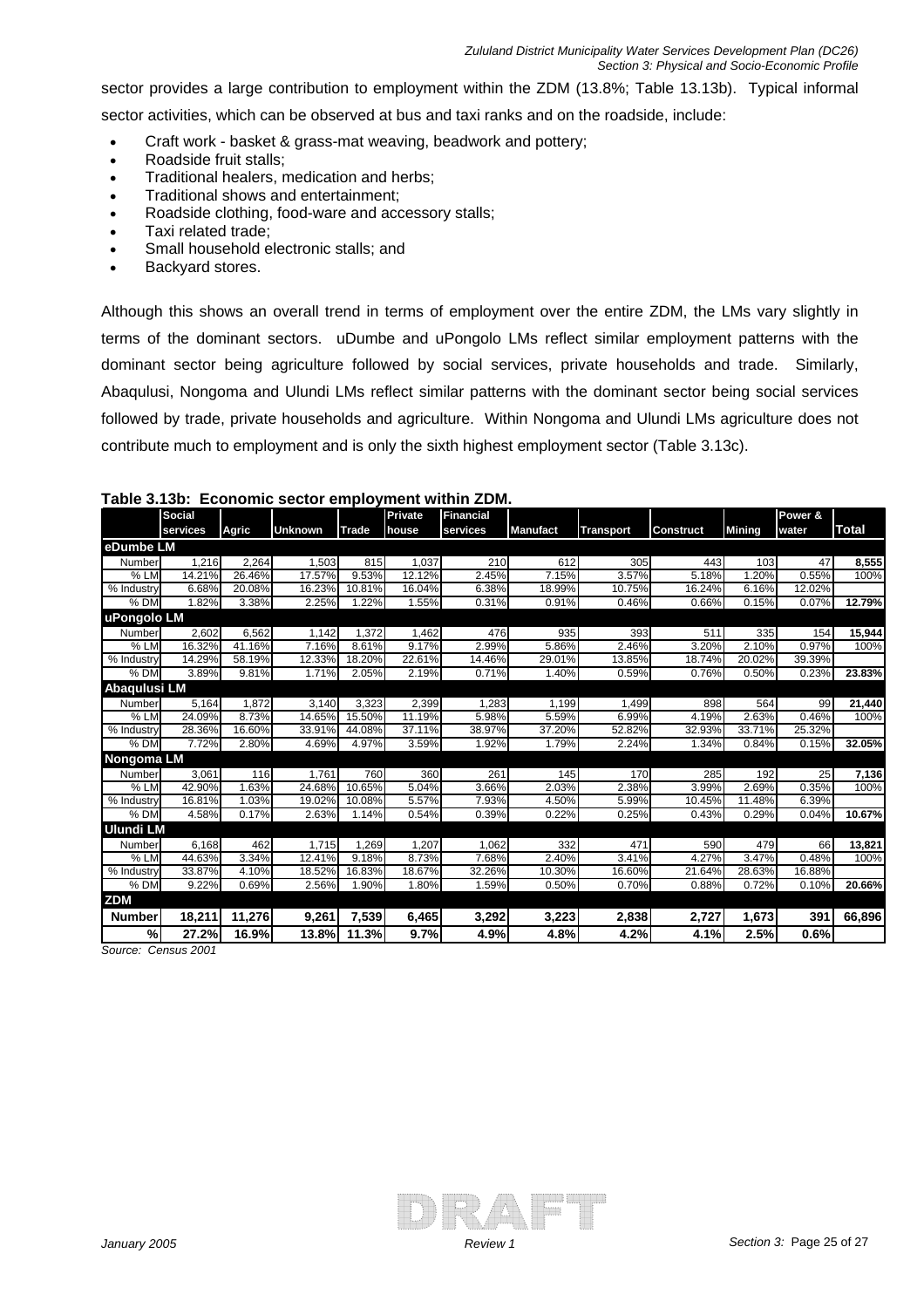sector provides a large contribution to employment within the ZDM (13.8%; Table 13.13b). Typical informal sector activities, which can be observed at bus and taxi ranks and on the roadside, include:

- Craft work basket & grass-mat weaving, beadwork and pottery;
- Roadside fruit stalls;
- Traditional healers, medication and herbs;
- Traditional shows and entertainment;
- Roadside clothing, food-ware and accessory stalls;
- Taxi related trade;
- Small household electronic stalls; and
- Backyard stores.

terms of the dominant sectors. uDumbe and uPongolo LMs reflect similar employment patterns with the dominant sector being agriculture followed by social services, private households and trade. Similarly, Abaqulusi, Nongoma and Ulundi LMs reflect similar patterns with the dominant sector being social services followed by trade, private households and agriculture. Within Nongoma and Ulundi LMs agriculture does not Although this shows an overall trend in terms of employment over the entire ZDM, the LMs vary slightly in contribute much to employment and is only the sixth highest employment sector (Table 3.13c).

|                   | <b>Social</b> |        |                |        | Private | <b>Financial</b> |                 |                  |                  |               | Power & |              |
|-------------------|---------------|--------|----------------|--------|---------|------------------|-----------------|------------------|------------------|---------------|---------|--------------|
|                   | services      | Agric  | <b>Unknown</b> | Trade  | house   | services         | <b>Manufact</b> | <b>Transport</b> | <b>Construct</b> | <b>Mining</b> | water   | <b>Total</b> |
| eDumbe LM         |               |        |                |        |         |                  |                 |                  |                  |               |         |              |
| Number            | 1,216         | 2,264  | 1,503          | 815    | 1,037   | 210              | 612             | 305              | 443              | 103           | 47      | 8,555        |
| % LM              | 14.21%        | 26.46% | 17.57%         | 9.53%  | 12.12%  | 2.45%            | 7.15%           | 3.57%            | 5.18%            | 1.20%         | 0.55%   | 100%         |
| % Industry        | 6.68%         | 20.08% | 16.23%         | 10.81% | 16.04%  | 6.38%            | 18.99%          | 10.75%           | 16.24%           | 6.16%         | 12.02%  |              |
| $%$ DM            | 1.82%         | 3.38%  | 2.25%          | 1.22%  | 1.55%   | 0.31%            | 0.91%           | 0.46%            | 0.66%            | 0.15%         | 0.07%   | 12.79%       |
| uPongolo LM       |               |        |                |        |         |                  |                 |                  |                  |               |         |              |
| Number            | 2.602         | 6.562  | 1.142          | 1.372  | 1.462   | 476              | 935             | 393              | 511              | 335           | 154     | 15,944       |
| $%$ LM            | 16.32%        | 41.16% | 7.16%          | 8.61%  | 9.17%   | 2.99%            | 5.86%           | 2.46%            | 3.20%            | 2.10%         | 0.97%   | 100%         |
| % Industry        | 14.29%        | 58.19% | 12.33%         | 18.20% | 22.61%  | 14.46%           | 29.01%          | 13.85%           | 18.74%           | 20.02%        | 39.39%  |              |
| $%$ DM            | 3.89%         | 9.81%  | 1.71%          | 2.05%  | 2.19%   | 0.71%            | 1.40%           | 0.59%            | 0.76%            | 0.50%         | 0.23%   | 23.83%       |
| Abaqulusi LM      |               |        |                |        |         |                  |                 |                  |                  |               |         |              |
| Number            | 5,164         | 1.872  | 3,140          | 3.323  | 2,399   | 1.283            | 1,199           | 1,499            | 898              | 564           | 99      | 21,440       |
| $%$ LM            | 24.09%        | 8.73%  | 14.65%         | 15.50% | 11.19%  | 5.98%            | 5.59%           | 6.99%            | 4.19%            | 2.63%         | 0.46%   | 100%         |
| % Industry        | 28.36%        | 16.60% | 33.91%         | 44.08% | 37.11%  | 38.97%           | 37.20%          | 52.82%           | 32.93%           | 33.71%        | 25.32%  |              |
| % DM              | 7.72%         | 2.80%  | 4.69%          | 4.97%  | 3.59%   | 1.92%            | 1.79%           | 2.24%            | 1.34%            | 0.84%         | 0.15%   | 32.05%       |
| <b>Nongoma LM</b> |               |        |                |        |         |                  |                 |                  |                  |               |         |              |
| Number            | 3,061         | 116    | 1.761          | 760    | 360     | 261              | 145             | 170              | 285              | 192           | 25      | 7,136        |
| $%$ LM            | 42.90%        | 1.63%  | 24.68%         | 10.65% | 5.04%   | 3.66%            | 2.03%           | 2.38%            | 3.99%            | 2.69%         | 0.35%   | 100%         |
| % Industry        | 16.81%        | 1.03%  | 19.02%         | 10.08% | 5.57%   | 7.93%            | 4.50%           | 5.99%            | 10.45%           | 11.48%        | 6.39%   |              |
| % DM              | 4.58%         | 0.17%  | 2.63%          | 1.14%  | 0.54%   | 0.39%            | 0.22%           | 0.25%            | 0.43%            | 0.29%         | 0.04%   | 10.67%       |
| <b>Ulundi LM</b>  |               |        |                |        |         |                  |                 |                  |                  |               |         |              |
| Number            | 6,168         | 462    | 1,715          | 1,269  | 1,207   | 1,062            | 332             | 471              | 590              | 479           | 66      | 13,821       |
| %LM               | 44.63%        | 3.34%  | 12.41%         | 9.18%  | 8.73%   | 7.68%            | 2.40%           | 3.41%            | 4.27%            | 3.47%         | 0.48%   | 100%         |
| % Industry        | 33.87%        | 4.10%  | 18.52%         | 16.83% | 18.67%  | 32.26%           | 10.30%          | 16.60%           | 21.64%           | 28.63%        | 16.88%  |              |
| $%$ DM            | 9.22%         | 0.69%  | 2.56%          | 1.90%  | 1.80%   | 1.59%            | 0.50%           | 0.70%            | 0.88%            | 0.72%         | 0.10%   | 20.66%       |
| <b>ZDM</b>        |               |        |                |        |         |                  |                 |                  |                  |               |         |              |
| <b>Number</b>     | 18,211        | 11,276 | 9,261          | 7,539  | 6,465   | 3,292            | 3,223           | 2,838            | 2,727            | 1,673         | 391     | 66,896       |
| %                 | 27.2%         | 16.9%  | 13.8%          | 11.3%  | 9.7%    | 4.9%             | 4.8%            | 4.2%             | 4.1%             | 2.5%          | 0.6%    |              |

#### **Table 3.13b: Economic sector employment within ZDM.**

*Source: Census 2001* 

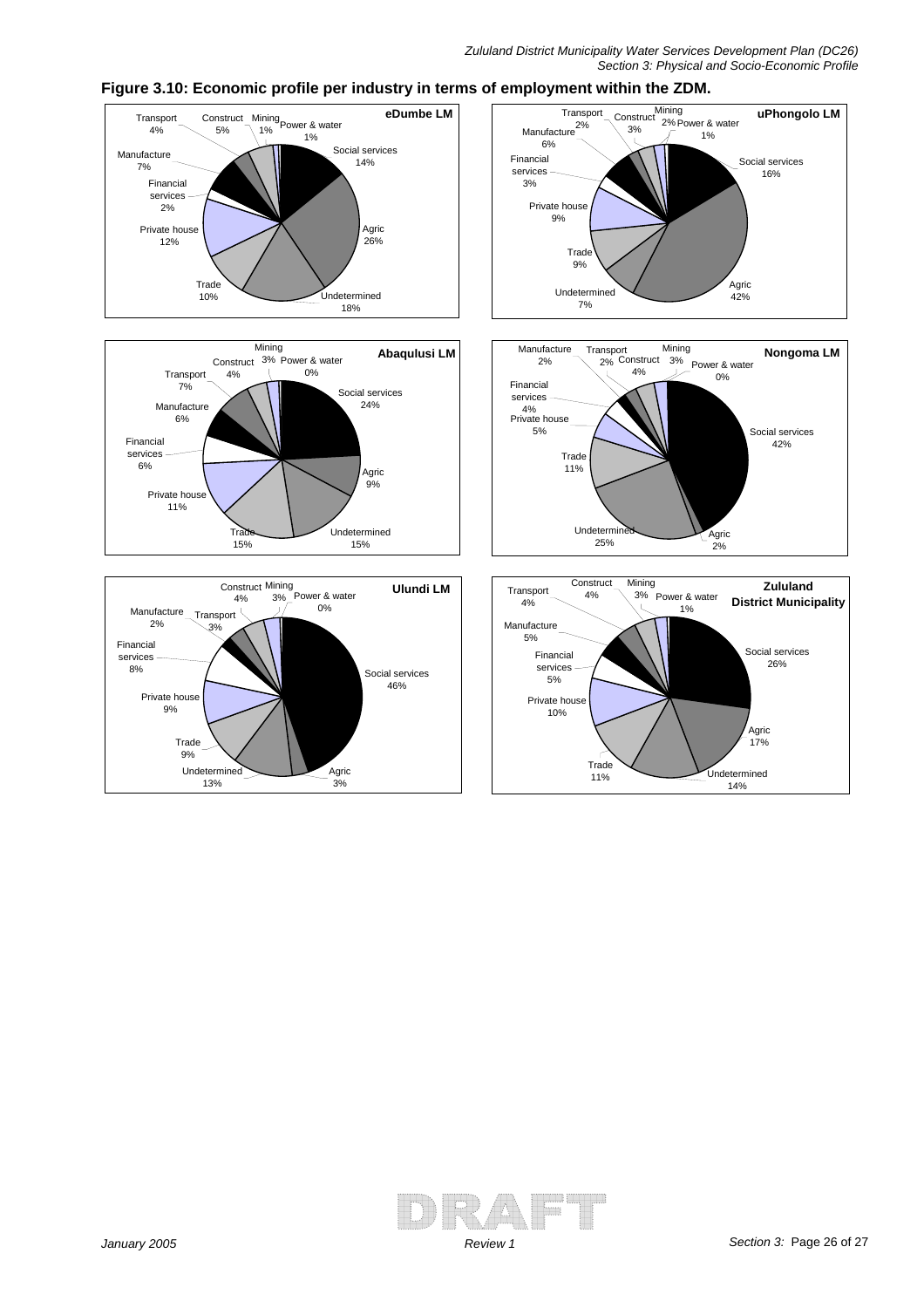

#### **Figure 3.10: Economic profile per industry in terms of employment within the ZDM.**